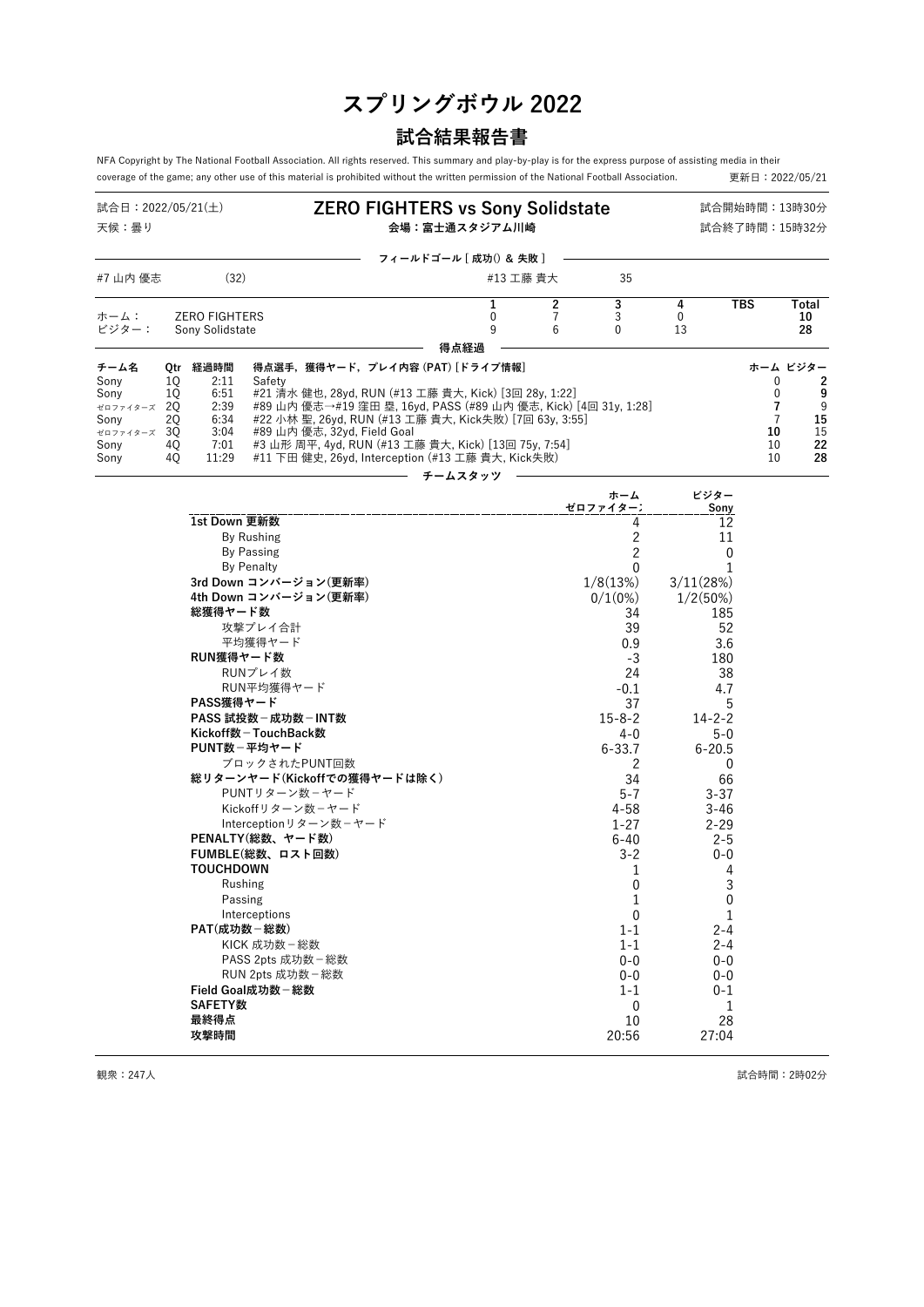# **スプリングボウル 2022**

## **試合結果報告書**

NFA Copyright by The National Football Association. All rights reserved. This summary and play-by-play is for the express purpose of assisting media in their<br>coverage of the game; any other use of this material is prohib coverage of the game; any other use of this material is prohibited without the written permission of the National Football Association.

| 試合日:2022/05/21(土)<br>天候:曇り                                           |                                                           |                                                               |                                                                                              | <b>ZERO FIGHTERS vs Sony Solidstate</b><br>会場:富士通スタジアム川崎                                                                                                                                                                                                                                                                                                                      | 試合開始時間:13時30分<br>試合終了時間:15時32分 |                          |                                                                                                  |                                                                           |                                                 |                   |
|----------------------------------------------------------------------|-----------------------------------------------------------|---------------------------------------------------------------|----------------------------------------------------------------------------------------------|-------------------------------------------------------------------------------------------------------------------------------------------------------------------------------------------------------------------------------------------------------------------------------------------------------------------------------------------------------------------------------|--------------------------------|--------------------------|--------------------------------------------------------------------------------------------------|---------------------------------------------------------------------------|-------------------------------------------------|-------------------|
|                                                                      |                                                           |                                                               |                                                                                              | フィールドゴール [成功() & 失敗]                                                                                                                                                                                                                                                                                                                                                          |                                |                          |                                                                                                  |                                                                           |                                                 |                   |
| #7 山内 優志                                                             |                                                           | (32)                                                          |                                                                                              |                                                                                                                                                                                                                                                                                                                                                                               | #13 工藤 貴大                      |                          | 35                                                                                               |                                                                           |                                                 |                   |
| ホーム:<br>ビジター:                                                        |                                                           | <b>ZERO FIGHTERS</b><br>Sony Solidstate                       |                                                                                              |                                                                                                                                                                                                                                                                                                                                                                               | 1<br>0<br>9                    | 2<br>$\overline{7}$<br>6 | 3<br>3<br>$\Omega$                                                                               | 4<br>$\Omega$<br>13                                                       | <b>TBS</b>                                      | Total<br>10<br>28 |
|                                                                      |                                                           |                                                               |                                                                                              | 得点経過                                                                                                                                                                                                                                                                                                                                                                          |                                |                          |                                                                                                  |                                                                           |                                                 |                   |
| チーム名<br>Sony<br>Sony<br>ゼロファイターズ<br>Sony<br>ゼロファイターズ<br>Sony<br>Sony | 0 <sub>tr</sub><br>10<br>10<br>20<br>2Q<br>30<br>40<br>40 | 経過時間<br>2:11<br>6:51<br>2:39<br>6:34<br>3:04<br>7:01<br>11:29 | Safety                                                                                       | 得点選手,獲得ヤード, プレイ内容 (PAT) [ドライブ情報]<br>#21 清水 健也, 28yd, RUN (#13 工藤 貴大, Kick) [3回 28y, 1:22]<br>#89 山内 優志→#19 窪田 塁, 16yd, PASS (#89 山内 優志, Kick) [4回 31y, 1:28]<br>#22 小林 聖, 26yd, RUN (#13 工藤 貴大, Kick失敗) [7回 63y, 3:55]<br>#89 山内 優志, 32yd, Field Goal<br>#3 山形 周平, 4yd, RUN (#13 工藤 貴大, Kick) [13回 75y, 7:54]<br>#11 下田 健史, 26yd, Interception (#13 工藤 貴大, Kick失敗)<br>チームスタッツ |                                |                          |                                                                                                  | 0<br>0<br>7<br>$\overline{7}$<br>10<br>10<br>10                           | ホーム ビジター<br>2<br>9<br>9<br>15<br>15<br>22<br>28 |                   |
|                                                                      |                                                           |                                                               |                                                                                              |                                                                                                                                                                                                                                                                                                                                                                               |                                |                          | ホーム<br>ゼロファイターン                                                                                  | ビジター<br>Sony                                                              |                                                 |                   |
|                                                                      |                                                           | 1st Down 更新数<br>総獲得ヤード数<br>RUN獲得ヤード数                          | By Rushing<br>By Passing<br><b>By Penalty</b><br>攻撃プレイ合計<br>平均獲得ヤード<br>RUNプレイ数<br>RUN平均獲得ヤード | 3rd Down コンバージョン(更新率)<br>4th Down コンバージョン(更新率)                                                                                                                                                                                                                                                                                                                                |                                |                          | 4<br>2<br>$\overline{c}$<br>0<br>1/8(13%)<br>$0/1(0\%)$<br>34<br>39<br>0.9<br>-3<br>24<br>$-0.1$ | 12<br>11<br>3/11(28%)<br>1/2(50%)<br>185<br>52<br>3.6<br>180<br>38<br>4.7 | 0                                               |                   |

| 51U レ0WⅡ コノハーン ョノ\史체竿ノ      | $1/0(13\%)$  | 3/11(28%)      |  |
|-----------------------------|--------------|----------------|--|
| 4th Down コンバージョン(更新率)       | $0/1(0\%)$   | 1/2(50%)       |  |
| 総獲得ヤード数                     | 34           | 185            |  |
| 攻撃プレイ合計                     | 39           | 52             |  |
| 平均獲得ヤード                     | 0.9          | 3.6            |  |
| RUN獲得ヤード数                   | $-3$         | 180            |  |
| RUNプレイ数                     | 24           | 38             |  |
| RUN平均獲得ヤード                  | $-0.1$       | 4.7            |  |
| PASS獲得ヤード                   | 37           | 5              |  |
| PASS 試投数 - 成功数 - INT数       | 15-8-2       | $14 - 2 - 2$   |  |
| Kickoff数-TouchBack数         | $4 - 0$      | $5-0$          |  |
| PUNT数-平均ヤード                 | $6 - 33.7$   | $6 - 20.5$     |  |
| ブロックされたPUNT回数               | 2            | 0              |  |
| 総リターンヤード(Kickoffでの獲得ヤードは除く) | 34           | 66             |  |
| PUNTリターン数ーヤード               | $5 - 7$      | $3 - 37$       |  |
| Kickoffリターン数-ヤード            | 4-58         | $3 - 46$       |  |
| Interceptionリターン数-ヤード       | $1 - 27$     | $2 - 29$       |  |
| PENALTY(総数、ヤード数)            | 6-40         | $2 - 5$        |  |
| FUMBLE(総数、ロスト回数)            | $3 - 2$      | $0 - 0$        |  |
| <b>TOUCHDOWN</b>            | 1            | 4              |  |
| Rushing                     | 0            | 3              |  |
| Passing                     | $\mathbf{1}$ | $\overline{0}$ |  |
| Interceptions               | $\mathbf{0}$ | $\overline{1}$ |  |
| PAT(成功数-総数)                 | $1 - 1$      | $2 - 4$        |  |
| KICK 成功数 - 総数               | $1 - 1$      | $2 - 4$        |  |
| PASS 2pts 成功数 - 総数          | $0 - 0$      | $0-0$          |  |
| RUN 2pts 成功数-総数             | $0 - 0$      | $0 - 0$        |  |
| Field Goal成功数-総数            | $1 - 1$      | $0 - 1$        |  |
| <b>SAFETY数</b>              | $\mathbf{0}$ | 1              |  |
| 最終得点                        | 10           | 28             |  |
| 攻撃時間                        | 20:56        | 27:04          |  |
|                             |              |                |  |

観衆: 247人 まんにゅう こうしょう こうしょう こうしょう おおとこ おおとこ こうしゅう まんじゅう 試合時間: 2時02分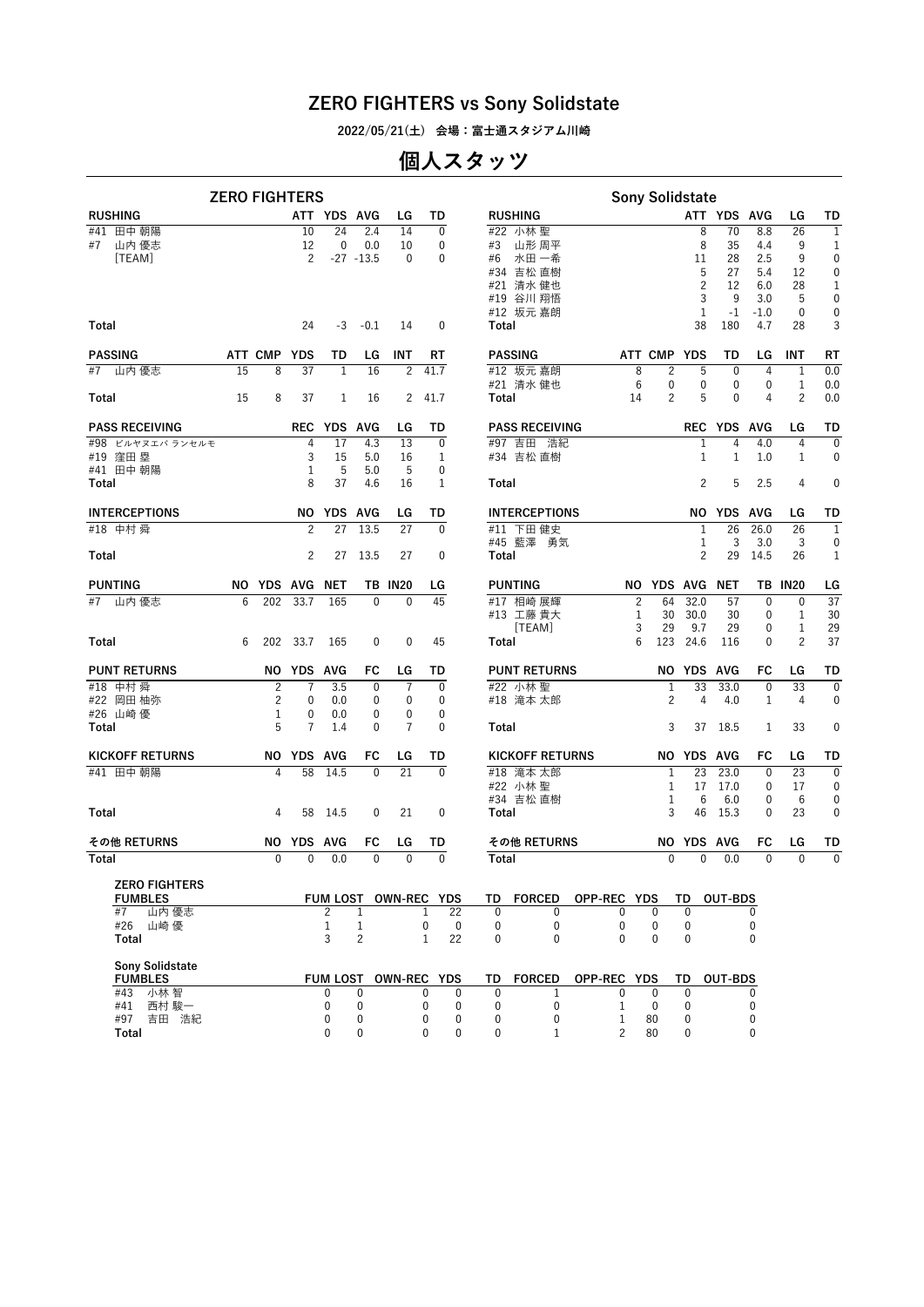**2022/05/21(土) 会場:富士通スタジアム川崎**

### **個人スタッツ**

|                                        |    |             | <b>ZERO FIGHTERS</b> |                 |                |                       |                      |                                    | <b>Sony Solidstate</b> |                   |                   |                |                |                |              |
|----------------------------------------|----|-------------|----------------------|-----------------|----------------|-----------------------|----------------------|------------------------------------|------------------------|-------------------|-------------------|----------------|----------------|----------------|--------------|
| <b>RUSHING</b>                         |    |             |                      | ATT YDS AVG     |                | LG                    | TD                   | <b>RUSHING</b>                     |                        |                   |                   | ATT YDS AVG    |                | LG             | TD           |
| 田中 朝陽<br>#41                           |    |             | 10                   | 24              | 2.4            | 14                    | $\mathbf 0$          | #22 小林 聖                           |                        |                   | 8                 | 70             | 8.8            | 26             | $\mathbf{1}$ |
| 山内 優志<br>#7                            |    |             | 12                   | $\mathbf 0$     | 0.0            | 10                    | $\mathbf 0$          | #3 山形周平                            |                        |                   | 8                 | 35             | 4.4            | 9              | $\mathbf{1}$ |
| [TEAM]                                 |    |             | $\overline{2}$       |                 | $-27 - 13.5$   | $\mathbf 0$           | $\mathbf 0$          | #6<br>水田 一希                        |                        |                   | 11                | 28             | 2.5            | 9              | $\mathbf 0$  |
|                                        |    |             |                      |                 |                |                       |                      | #34 吉松 直樹                          |                        |                   | 5                 | 27             | 5.4            | 12             | 0            |
|                                        |    |             |                      |                 |                |                       |                      | #21 清水 健也                          |                        |                   | $\overline{c}$    | 12             | 6.0            | 28             | 1            |
|                                        |    |             |                      |                 |                |                       |                      | #19 谷川 翔悟                          |                        |                   | 3                 | 9              | 3.0            | 5              | 0            |
|                                        |    |             |                      |                 |                |                       |                      | #12 坂元 嘉朗                          |                        |                   | $\mathbf{1}$      | $-1$           | $-1.0$         | $\mathbf 0$    | 0            |
| Total                                  |    |             | 24                   | -3              | $-0.1$         | 14                    | 0                    | Total                              |                        |                   | 38                | 180            | 4.7            | 28             | 3            |
| <b>PASSING</b>                         |    | ATT CMP YDS |                      | TD              | LG             | INT                   | RT                   | <b>PASSING</b>                     |                        | ATT CMP YDS       |                   | TD             | LG             | INT            | RT           |
| #7<br>山内 優志                            | 15 | 8           | 37                   | 1               | 16             | $\overline{c}$        | 41.7                 | #12 坂元 嘉朗                          | 8                      | $\overline{c}$    | 5                 | $\mathbf 0$    | 4              | $\mathbf{1}$   | 0.0          |
|                                        |    |             |                      |                 |                |                       |                      | #21 清水健也                           | $6\phantom{1}6$        | 0                 | 0                 | $\mathbf 0$    | 0              | $\mathbf{1}$   | 0.0          |
| Total                                  | 15 | 8           | 37                   | 1               | 16             | $\mathbf{2}^{\prime}$ | 41.7                 | Total                              | 14                     | 2                 | 5                 | $\mathbf 0$    | 4              | 2              | 0.0          |
| <b>PASS RECEIVING</b>                  |    |             |                      | REC YDS AVG     |                | LG                    | TD                   | <b>PASS RECEIVING</b>              |                        |                   |                   | REC YDS AVG    |                | LG             | TD           |
| #98 ビルヤヌエバランセルモ                        |    |             | 4                    | 17              | 4.3            | 13                    | $\mathbf{0}$         | #97 吉田 浩紀                          |                        |                   | $\mathbf{1}$      | 4              | 4.0            | 4              | $\mathbf{0}$ |
| #19 窪田塁                                |    |             | 3                    | 15              | 5.0            | 16                    | 1                    | #34 吉松 直樹                          |                        |                   | 1                 | $\mathbf{1}$   | 1.0            | $\mathbf{1}$   | 0            |
| #41 田中 朝陽                              |    |             | 1                    | 5               | 5.0            | 5                     | $\mathbf 0$          |                                    |                        |                   |                   |                |                |                |              |
| Total                                  |    |             | 8                    | 37              | 4.6            | 16                    | 1                    | Total                              |                        |                   | 2                 | 5              | 2.5            | 4              | $\mathbf 0$  |
| <b>INTERCEPTIONS</b>                   |    |             |                      | NO YDS AVG      |                | LG                    | TD                   | <b>INTERCEPTIONS</b>               |                        |                   |                   | NO YDS AVG     |                | LG             | TD           |
| #18 中村 舜                               |    |             | $\overline{c}$       | 27              | 13.5           | 27                    | $\mathbf{0}$         | #11 下田健史                           |                        |                   | 1                 | 26             | 26.0           | 26             | $\mathbf{1}$ |
|                                        |    |             |                      |                 |                |                       |                      | #45 藍澤<br>勇気                       |                        |                   | 1                 | 3              | 3.0            | 3              | 0            |
| Total                                  |    |             | 2                    | 27              | 13.5           | 27                    | $\mathbf 0$          | Total                              |                        |                   | $\overline{c}$    | 29             | 14.5           | 26             | 1            |
| <b>PUNTING</b>                         |    |             | NO YDS AVG NET       |                 |                | <b>TB IN20</b>        | LG                   | <b>PUNTING</b>                     |                        | NO YDS AVG NET    |                   |                |                | <b>TB IN20</b> | LG           |
| #7 山内優志                                | 6  | 202         | 33.7                 | 165             | $\mathbf{0}$   | $\mathbf{0}$          | 45                   | #17 相崎 展輝                          | $\overline{c}$         | 64                | 32.0              | 57             | $\mathbf{0}$   | $\mathbf 0$    | 37           |
|                                        |    |             |                      |                 |                |                       |                      | #13 工藤 貴大                          | 1                      | 30                | 30.0              | 30             | 0              | 1              | 30           |
|                                        |    |             |                      |                 |                |                       |                      | [TEAM]                             | 3                      | 29                | 9.7               | 29             | 0              | $\mathbf{1}$   | 29           |
| Total                                  | 6  |             | 202 33.7             | 165             | 0              | $\mathbf{0}$          | 45                   | Total                              | 6                      |                   | 123 24.6          | 116            | $\mathbf{0}$   | 2              | 37           |
| <b>PUNT RETURNS</b>                    |    |             | NO YDS AVG           |                 | FC             | LG                    | TD                   | <b>PUNT RETURNS</b>                |                        |                   | NO YDS AVG        |                | FC             | LG             | TD           |
| #18 中村 舜                               |    | 2           | 7                    | 3.5             | 0              | 7                     | $\mathbf{0}$         | #22 小林 聖                           |                        | 1                 | 33                | 33.0           | $\mathbf{0}$   | 33             | $\mathbf 0$  |
| #22 岡田 柚弥                              |    | 2           | 0                    | 0.0             | 0              | $\mathbf 0$           | 0                    | #18 滝本 太郎                          |                        | 2                 | 4                 | 4.0            | 1              | 4              | 0            |
| #26 山崎優                                |    | 1           | 0                    | 0.0             | 0              | 0                     | $\mathbf 0$          |                                    |                        |                   |                   |                |                |                |              |
| Total                                  |    | 5           | $\overline{7}$       | 1.4             | $\mathbf{0}$   | 7                     | $\mathbf{0}$         | Total                              |                        | 3                 | 37                | 18.5           | 1              | 33             | 0            |
| <b>KICKOFF RETURNS</b>                 |    |             | NO YDS AVG           |                 | FC             | LG                    | TD                   | <b>KICKOFF RETURNS</b>             |                        |                   | NO YDS AVG        |                | FC             | LG             | TD           |
| #41 田中 朝陽                              |    | 4           | 58                   | 14.5            | $\mathbf{0}$   | $\overline{21}$       | $\overline{0}$       | #18 滝本 太郎                          |                        | 1                 | $\overline{23}$   | 23.0           | $\mathbf 0$    | 23             | $\mathbf{0}$ |
|                                        |    |             |                      |                 |                |                       |                      | #22 小林 聖                           |                        | 1                 | 17                | 17.0           | 0              | 17             | $\mathbf 0$  |
|                                        |    |             |                      |                 |                |                       |                      | #34 吉松 直樹                          |                        | 1                 | 6                 | 6.0            | 0              | 6              | $\mathbf 0$  |
| Total                                  |    | 4           |                      | 58 14.5         | 0              | 21                    | $\mathbf 0$          | Total                              |                        | 3                 | 46                | 15.3           | 0              | 23             | 0            |
| その他 RETURNS                            |    |             | NO YDS AVG           |                 | FC             | LG                    | TD                   | その他 RETURNS                        |                        |                   | <b>NO YDS AVG</b> |                | FC             | LG             | TD           |
| Total                                  |    | 0           | $\mathbf{0}$         | 0.0             | $\mathbf{0}$   | $\mathbf{0}$          | $\mathbf{0}$         | Total                              |                        | $\mathbf{0}$      | $\mathbf{0}$      | 0.0            | $\mathbf{0}$   | $\mathbf{0}$   | $\mathbf{0}$ |
|                                        |    |             |                      |                 |                |                       |                      |                                    |                        |                   |                   |                |                |                |              |
| <b>ZERO FIGHTERS</b><br><b>FUMBLES</b> |    |             |                      |                 |                |                       | FUM LOST OWN-REC YDS | TD<br><b>FORCED</b><br>OPP-REC YDS |                        |                   | TD                | <b>OUT-BDS</b> |                |                |              |
| #7<br>山内 優志                            |    |             |                      | 2               | 1              |                       | 22<br>1              | $\mathbf{0}$<br>$\mathbf{0}$       | 0                      | 0                 | 0                 |                | 0              |                |              |
| #26<br>山崎 優                            |    |             |                      | $\mathbf{1}$    | 1              |                       | 0<br>0               | 0<br>0                             | $\mathbf 0$            | $\mathbf 0$       | 0                 |                | 0              |                |              |
| Total                                  |    |             |                      | 3               | $\overline{c}$ |                       | 22<br>$\mathbf{1}$   | $\mathbf 0$<br>$\mathbf 0$         | 0                      | $\mathbf 0$       | $\mathbf 0$       |                | 0              |                |              |
|                                        |    |             |                      |                 |                |                       |                      |                                    |                        |                   |                   |                |                |                |              |
| Sony Solidstate                        |    |             |                      |                 |                |                       |                      |                                    |                        |                   |                   |                |                |                |              |
| <b>FUMBLES</b>                         |    |             |                      | <b>FUM LOST</b> |                |                       | OWN-REC YDS          | TD<br><b>FORCED</b><br>OPP-REC YDS |                        |                   | TD                | <b>OUT-BDS</b> |                |                |              |
| #43 小林智                                |    |             |                      | 0               | 0              |                       | $\Omega$<br>0        | $\Omega$<br>1                      | 0                      | 0                 | $\mathbf{0}$      |                | 0              |                |              |
| #41<br>西村 駿一<br>#97 吉田 浩紀              |    |             |                      | 0<br>0          | 0<br>0         |                       | 0<br>0<br>0<br>0     | 0<br>$\mathbf 0$<br>0<br>0         | 1<br>1                 | $\mathbf 0$<br>80 | 0<br>0            |                | $\pmb{0}$<br>0 |                |              |
| Total                                  |    |             |                      | $\Omega$        | $\Omega$       |                       | $\Omega$<br>$\Omega$ | $\Omega$<br>1                      | $\mathfrak{p}$         | 80                | $\mathbf{0}$      |                | $\mathbf{0}$   |                |              |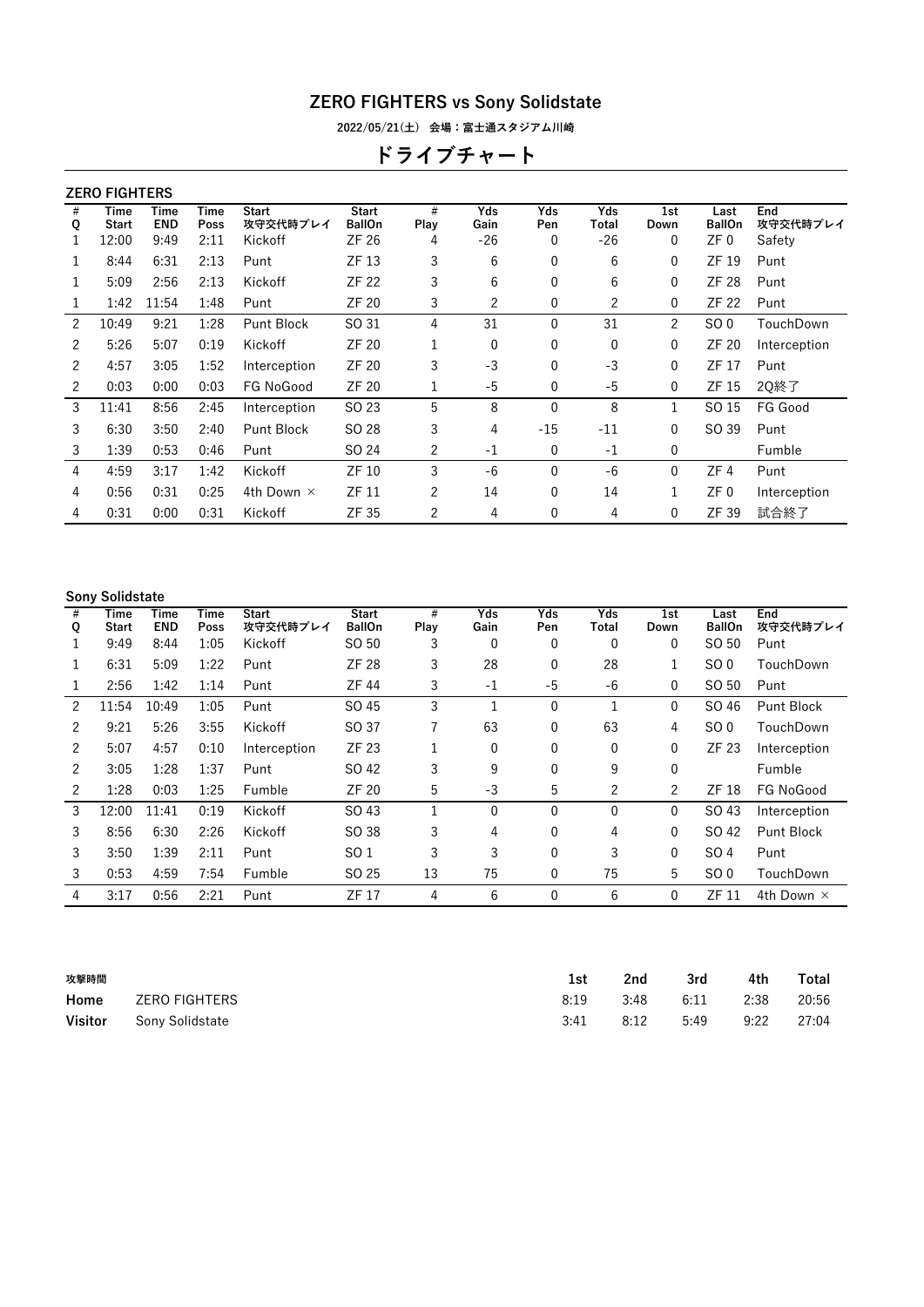**2022/05/21(土) 会場:富士通スタジアム川崎**

# **ドライブチャート**

|        | <b>ZERO FIGHTERS</b> |                    |              |                          |                               |                |                |            |              |                |                       |                 |
|--------|----------------------|--------------------|--------------|--------------------------|-------------------------------|----------------|----------------|------------|--------------|----------------|-----------------------|-----------------|
| #<br>Q | Time<br><b>Start</b> | Time<br><b>END</b> | Time<br>Poss | <b>Start</b><br>攻守交代時プレイ | <b>Start</b><br><b>BallOn</b> | #<br>Play      | Yds<br>Gain    | Yds<br>Pen | Yds<br>Total | 1st<br>Down    | Last<br><b>BallOn</b> | End<br>攻守交代時プレイ |
|        | 12:00                | 9:49               | 2:11         | Kickoff                  | ZF 26                         | 4              | $-26$          | 0          | $-26$        | 0              | ZF 0                  | Safety          |
| 1      | 8:44                 | 6:31               | 2:13         | Punt                     | ZF 13                         | 3              | 6              | 0          | 6            | $\mathbf{0}$   | ZF 19                 | Punt            |
| 1      | 5:09                 | 2:56               | 2:13         | Kickoff                  | ZF 22                         | 3              | 6              | 0          | 6            | $\mathbf{0}$   | ZF 28                 | Punt            |
|        | 1:42                 | 11:54              | 1:48         | Punt                     | <b>ZF 20</b>                  | 3              | $\overline{2}$ | 0          | 2            | 0              | <b>ZF 22</b>          | Punt            |
| 2      | 10:49                | 9:21               | 1:28         | <b>Punt Block</b>        | SO 31                         | 4              | 31             | 0          | 31           | $\overline{2}$ | SO <sub>0</sub>       | TouchDown       |
| 2      | 5:26                 | 5:07               | 0:19         | Kickoff                  | ZF 20                         | 1              | 0              | 0          | 0            | 0              | ZF 20                 | Interception    |
| 2      | 4:57                 | 3:05               | 1:52         | Interception             | <b>ZF 20</b>                  | 3              | $-3$           | 0          | $-3$         | $\mathbf{0}$   | ZF 17                 | Punt            |
| 2      | 0:03                 | 0:00               | 0:03         | FG NoGood                | ZF 20                         | 1              | -5             | 0          | -5           | $\mathbf{0}$   | ZF 15                 | 2Q終了            |
| 3      | 11:41                | 8:56               | 2:45         | Interception             | SO 23                         | 5              | 8              | $\Omega$   | 8            | 1              | SO 15                 | FG Good         |
| 3      | 6:30                 | 3:50               | 2:40         | Punt Block               | SO 28                         | 3              | 4              | $-15$      | $-11$        | 0              | SO 39                 | Punt            |
| 3      | 1:39                 | 0:53               | 0:46         | Punt                     | SO 24                         | $\overline{c}$ | $-1$           | 0          | $-1$         | 0              |                       | Fumble          |
| 4      | 4:59                 | 3:17               | 1:42         | Kickoff                  | ZF 10                         | 3              | $-6$           | 0          | $-6$         | $\mathbf{0}$   | ZF 4                  | Punt            |
| 4      | 0:56                 | 0:31               | 0:25         | 4th Down ×               | <b>ZF 11</b>                  | 2              | 14             | 0          | 14           | 1              | ZF 0                  | Interception    |
| 4      | 0:31                 | 0:00               | 0:31         | Kickoff                  | ZF 35                         | 2              | 4              | 0          | 4            | $\mathbf{0}$   | ZF 39                 | 試合終了            |
|        |                      |                    |              |                          |                               |                |                |            |              |                |                       |                 |

#### **Sony Solidstate**

| #<br>Q | Time<br>Start | Time<br><b>END</b> | Time<br>Poss | <b>Start</b><br>攻守交代時プレイ | <b>Start</b><br><b>BallOn</b> | #<br>Play | Yds<br>Gain | Yds<br>Pen   | <b>Yds</b><br>Total | 1st<br>Down | Last<br><b>BallOn</b> | End<br>攻守交代時プレイ   |
|--------|---------------|--------------------|--------------|--------------------------|-------------------------------|-----------|-------------|--------------|---------------------|-------------|-----------------------|-------------------|
|        | 9:49          | 8:44               | 1:05         | Kickoff                  | SO 50                         | 3         | 0           | 0            | 0                   | 0           | SO 50                 | Punt              |
|        | 6:31          | 5:09               | 1:22         | Punt                     | <b>ZF 28</b>                  | 3         | 28          | 0            | 28                  |             | SO <sub>0</sub>       | TouchDown         |
|        | 2:56          | 1:42               | 1:14         | Punt                     | ZF 44                         | 3         | $-1$        | -5           | $-6$                | 0           | SO 50                 | Punt              |
| 2      | 11:54         | 10:49              | 1:05         | Punt                     | SO 45                         | 3         | 1           | $\Omega$     | 1                   | 0           | SO 46                 | Punt Block        |
| 2      | 9:21          | 5:26               | 3:55         | Kickoff                  | SO 37                         | 7         | 63          | 0            | 63                  | 4           | SO <sub>0</sub>       | TouchDown         |
| 2      | 5:07          | 4:57               | 0:10         | Interception             | ZF 23                         | 1         | 0           | $\Omega$     | $\mathbf{0}$        | 0           | ZF 23                 | Interception      |
| 2      | 3:05          | 1:28               | 1:37         | Punt                     | SO 42                         | 3         | 9           | 0            | 9                   | 0           |                       | Fumble            |
| 2      | 1:28          | 0:03               | 1:25         | Fumble                   | <b>ZF 20</b>                  | 5         | -3          | 5            | 2                   | 2           | ZF 18                 | FG NoGood         |
| 3      | 12:00         | 11:41              | 0:19         | Kickoff                  | SO 43                         |           | 0           | $\mathbf{0}$ | $\mathbf{0}$        | 0           | SO 43                 | Interception      |
| 3      | 8:56          | 6:30               | 2:26         | Kickoff                  | SO 38                         | 3         | 4           | $\Omega$     | 4                   | 0           | SO 42                 | Punt Block        |
| 3      | 3:50          | 1:39               | 2:11         | Punt                     | SO 1                          | 3         | 3           | $\mathbf{0}$ | 3                   | 0           | SO 4                  | Punt              |
| 3      | 0:53          | 4:59               | 7:54         | Fumble                   | SO 25                         | 13        | 75          | $\mathbf{0}$ | 75                  | 5           | SO <sub>0</sub>       | TouchDown         |
| 4      | 3:17          | 0:56               | 2:21         | Punt                     | ZF 17                         | 4         | 6           | 0            | 6                   | 0           | ZF 11                 | 4th Down $\times$ |
|        |               |                    |              |                          |                               |           |             |              |                     |             |                       |                   |

| 攻撃時間           |                 | 1st  | 2nd  | 3rd  | 4th  | Total |
|----------------|-----------------|------|------|------|------|-------|
| Home           | ZERO FIGHTERS   | 8:19 | 3:48 | 6:11 | 2:38 | 20:56 |
| <b>Visitor</b> | Sony Solidstate | 3:41 | 8:12 | 5:49 | 9:22 | 27:04 |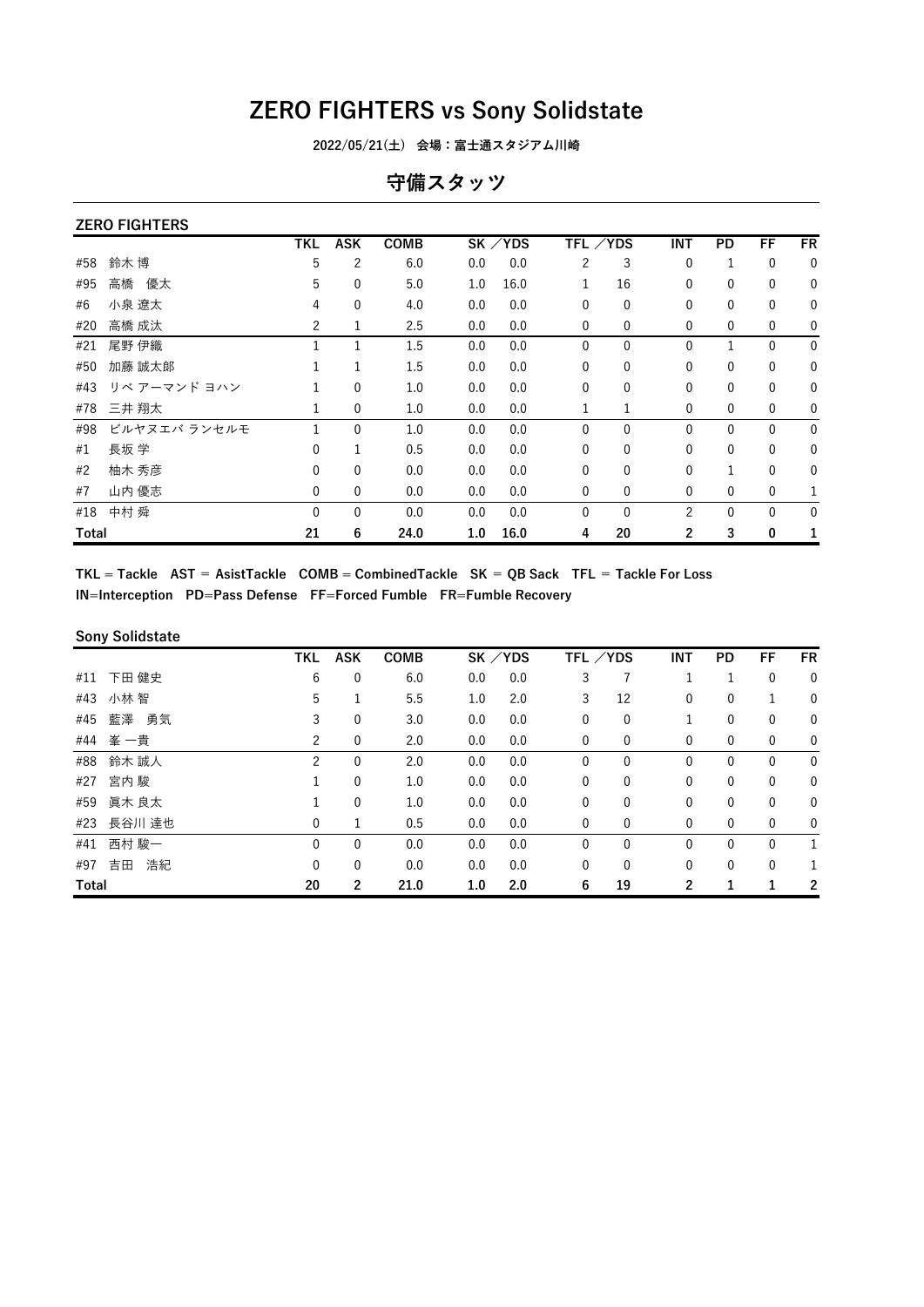**2022/05/21(土) 会場:富士通スタジアム川崎**

#### **守備スタッツ**

| <b>ZERO FIGHTERS</b> |  |
|----------------------|--|
|                      |  |

|       |              | <b>TKL</b>   | <b>ASK</b>   | COMB |     | SK / YDS |              | TFL ∕YDS     | INT            | PD           | FF           | <b>FR</b>    |
|-------|--------------|--------------|--------------|------|-----|----------|--------------|--------------|----------------|--------------|--------------|--------------|
| #58   | 鈴木 博         | 5            | 2            | 6.0  | 0.0 | 0.0      | 2            | 3            | 0              | 1            | 0            | $\mathbf{0}$ |
| #95   | 優太<br>高橋     | 5            | 0            | 5.0  | 1.0 | 16.0     |              | 16           | $\mathbf{0}$   | 0            | $\mathbf 0$  | $\mathbf 0$  |
| #6    | 小泉 遼太        | 4            | 0            | 4.0  | 0.0 | 0.0      | $\Omega$     | $\mathbf{0}$ | $\mathbf 0$    | 0            | $\mathbf 0$  | $\mathbf 0$  |
| #20   | 高橋 成汰        | 2            | 1            | 2.5  | 0.0 | 0.0      | 0            | $\mathbf 0$  | 0              | 0            | $\mathbf 0$  | $\mathbf 0$  |
| #21   | 尾野 伊織        |              |              | 1.5  | 0.0 | 0.0      | 0            | $\mathbf{0}$ | $\mathbf{0}$   | $\mathbf{1}$ | $\mathbf{0}$ | $\mathbf 0$  |
| #50   | 加藤 誠太郞       |              | 1            | 1.5  | 0.0 | 0.0      | 0            | $\mathbf{0}$ | 0              | 0            | $\mathbf 0$  | $\mathbf 0$  |
| #43   | リベ アーマンド ヨハン |              | 0            | 1.0  | 0.0 | 0.0      | 0            | $\mathbf{0}$ | $\mathbf{0}$   | $\mathbf{0}$ | $\mathbf 0$  | $\mathbf{0}$ |
| #78   | 三井 翔太        | 1            | $\mathbf 0$  | 1.0  | 0.0 | 0.0      |              | 1            | 0              | 0            | $\mathbf 0$  | $\mathbf 0$  |
| #98   | ビルヤヌエバ ランセルモ | 1            | $\mathbf{0}$ | 1.0  | 0.0 | 0.0      | $\mathbf{0}$ | $\mathbf{0}$ | $\mathbf{0}$   | $\mathbf{0}$ | $\mathbf{0}$ | $\mathbf{0}$ |
| #1    | 長坂 学         | 0            | 1            | 0.5  | 0.0 | 0.0      | 0            | $\mathbf 0$  | $\mathbf 0$    | $\mathbf 0$  | 0            | $\mathbf 0$  |
| #2    | 柚木 秀彦        | $\Omega$     | $\mathbf{0}$ | 0.0  | 0.0 | 0.0      | $\Omega$     | $\Omega$     | $\Omega$       | 1            | $\mathbf{0}$ | $\mathbf{0}$ |
| #7    | 山内 優志        | 0            | 0            | 0.0  | 0.0 | 0.0      | 0            | $\mathbf 0$  | 0              | 0            | $\mathbf 0$  |              |
| #18   | 中村 舜         | $\mathbf{0}$ | $\mathbf{0}$ | 0.0  | 0.0 | 0.0      | $\mathbf{0}$ | $\Omega$     | $\overline{2}$ | 0            | $\mathbf{0}$ | $\mathbf{0}$ |
| Total |              | 21           | 6            | 24.0 | 1.0 | 16.0     | 4            | 20           | 2              | 3            | 0            |              |

TKL = Tackle  $AST = AsistTake COMB = CombinedTake SK = QB Sack TFL = Tackle For Loss$ **IN=Interception PD=Pass Defense FF=Forced Fumble FR=Fumble Recovery**

#### **Sony Solidstate**

|       |            | <b>TKL</b> | <b>ASK</b>     | <b>COMB</b> |     | $SK$ /YDS | TFL /YDS     |              | <b>INT</b>   | <b>PD</b>    | FF           | <b>FR</b>    |
|-------|------------|------------|----------------|-------------|-----|-----------|--------------|--------------|--------------|--------------|--------------|--------------|
| #11   | 下田 健史      | 6          | 0              | 6.0         | 0.0 | 0.0       | 3            |              |              |              | 0            | $\mathbf 0$  |
| #43   | 小林 智       | 5          |                | 5.5         | 1.0 | 2.0       | 3            | 12           | 0            | 0            |              | 0            |
| #45   | 藍澤 勇気      | 3          | 0              | 3.0         | 0.0 | 0.0       | 0            | 0            |              | 0            | 0            | 0            |
|       | #44 峯 一貴   | 2          | 0              | 2.0         | 0.0 | 0.0       | 0            | 0            | 0            | $\mathbf 0$  | 0            | $\mathbf 0$  |
| #88   | 鈴木 誠人      | 2          | 0              | 2.0         | 0.0 | 0.0       | 0            | 0            | 0            | 0            | 0            | $\mathbf 0$  |
| #27   | 宮内 駿       | 1          | 0              | 1.0         | 0.0 | 0.0       | 0            | $\mathbf{0}$ | 0            | $\mathbf{0}$ | 0            | $\mathbf 0$  |
| #59   | 眞木 良太      |            | 0              | 1.0         | 0.0 | 0.0       | 0            | 0            | 0            | $\mathbf{0}$ | 0            | $\mathbf 0$  |
|       | #23 長谷川 達也 | 0          | 1              | 0.5         | 0.0 | 0.0       | 0            | 0            | 0            | $\mathbf{0}$ | $\mathbf 0$  | 0            |
| #41   | 西村 駿一      | 0          | $\mathbf{0}$   | 0.0         | 0.0 | 0.0       | $\mathbf{0}$ | $\mathbf{0}$ | $\mathbf{0}$ | $\mathbf{0}$ | $\mathbf{0}$ | $\mathbf{1}$ |
| #97   | 浩紀<br>吉田   | 0          | 0              | 0.0         | 0.0 | 0.0       | $\mathbf{0}$ | $\Omega$     | $\mathbf{0}$ | $\mathbf{0}$ | $\mathbf{0}$ | $\mathbf{1}$ |
| Total |            | 20         | $\overline{2}$ | 21.0        | 1.0 | 2.0       | 6            | 19           | 2            | 1            |              | 2            |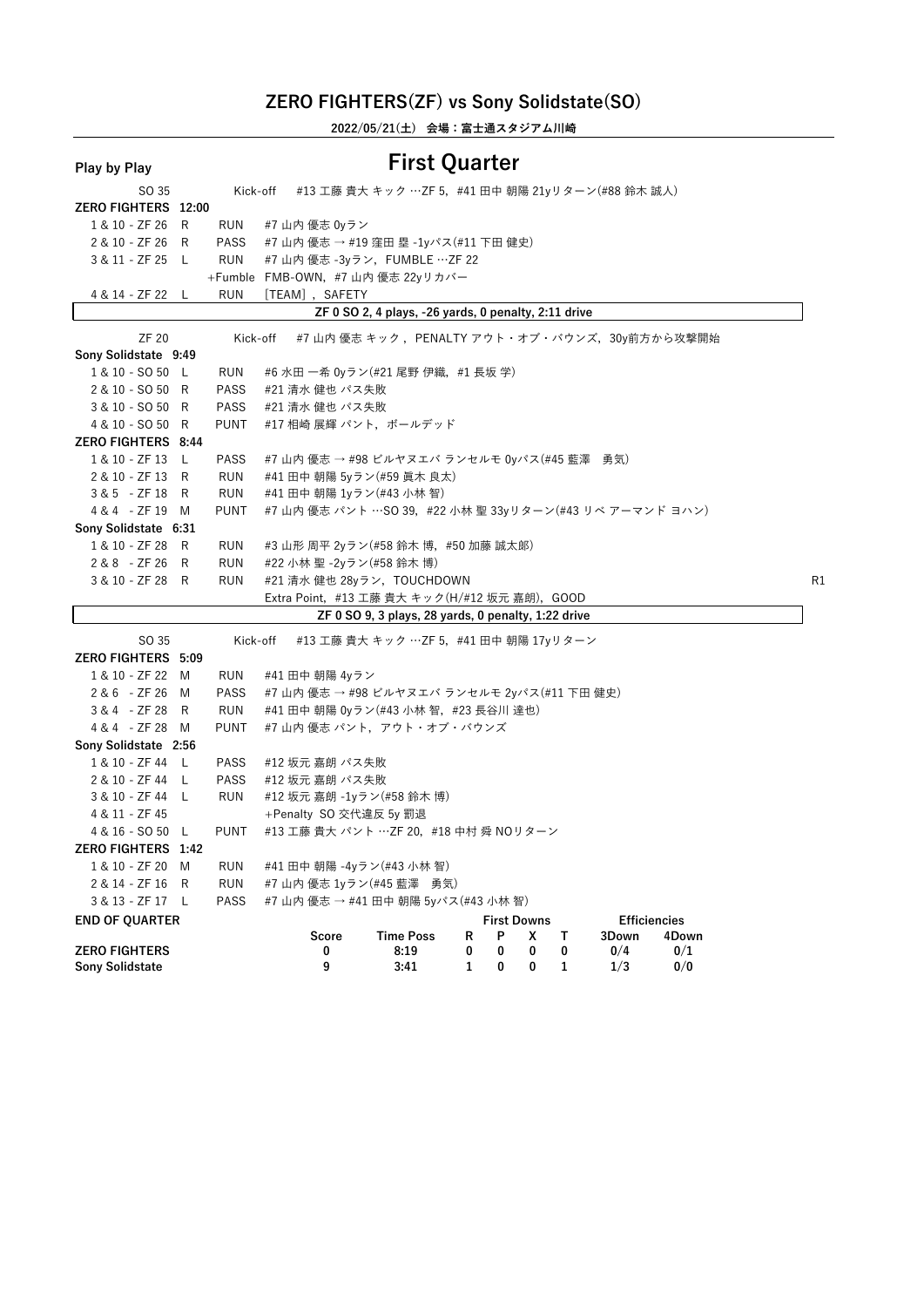**2022/05/21(土) 会場:富士通スタジアム川崎**

| <b>Play by Play</b>        |             |                                                        | <b>First Quarter</b>                                 |   |                         |   |   |       |                              |                |
|----------------------------|-------------|--------------------------------------------------------|------------------------------------------------------|---|-------------------------|---|---|-------|------------------------------|----------------|
| SO 35                      | Kick-off    |                                                        | #13 工藤 貴大 キック …ZF 5,#41 田中 朝陽 21yリターン(#88 鈴木 誠人)     |   |                         |   |   |       |                              |                |
| <b>ZERO FIGHTERS 12:00</b> |             |                                                        |                                                      |   |                         |   |   |       |                              |                |
| 1 & 10 - ZF 26 R           | RUN         | #7 山内 優志 0yラン                                          |                                                      |   |                         |   |   |       |                              |                |
| 2 & 10 - ZF 26 R           | <b>PASS</b> | #7 山内 優志 → #19 窪田 塁 -1yパス(#11 下田 健史)                   |                                                      |   |                         |   |   |       |                              |                |
| 3 & 11 - ZF 25 L           | RUN         | #7 山内 優志 -3yラン, FUMBLE …ZF 22                          |                                                      |   |                         |   |   |       |                              |                |
|                            |             | +Fumble FMB-OWN, #7 山内 優志 22yリカバー                      |                                                      |   |                         |   |   |       |                              |                |
| 4 & 14 - ZF 22 L           | <b>RUN</b>  | [TEAM], SAFETY                                         |                                                      |   |                         |   |   |       |                              |                |
|                            |             |                                                        | ZF 0 SO 2, 4 plays, -26 yards, 0 penalty, 2:11 drive |   |                         |   |   |       |                              |                |
| ZF 20                      | Kick-off    |                                                        | #7 山内 優志 キック ,PENALTY アウト・オブ・バウンズ,30y前方から攻撃開始        |   |                         |   |   |       |                              |                |
| Sony Solidstate 9:49       |             |                                                        |                                                      |   |                         |   |   |       |                              |                |
| 1 & 10 - SO 50 L           | RUN         | #6 水田 一希 0yラン(#21 尾野 伊織,#1 長坂 学)                       |                                                      |   |                         |   |   |       |                              |                |
| 2 & 10 - SO 50 R           | PASS        | #21 清水 健也 パス失敗                                         |                                                      |   |                         |   |   |       |                              |                |
| 3 & 10 - SO 50 R           | <b>PASS</b> | #21 清水 健也 パス失敗                                         |                                                      |   |                         |   |   |       |                              |                |
| 4 & 10 - SO 50 R           | <b>PUNT</b> | #17 相崎 展輝 パント, ボールデッド                                  |                                                      |   |                         |   |   |       |                              |                |
| <b>ZERO FIGHTERS 8:44</b>  |             |                                                        |                                                      |   |                         |   |   |       |                              |                |
| 1 & 10 - ZF 13 L           | PASS        | #7 山内 優志 → #98 ビルヤヌエバ ランセルモ 0yパス(#45 藍澤 勇気)            |                                                      |   |                         |   |   |       |                              |                |
| 2 & 10 - ZF 13 R           | RUN         | #41 田中 朝陽 5yラン(#59 眞木 良太)                              |                                                      |   |                         |   |   |       |                              |                |
| 3 & 5 - ZF 18 R            | RUN         | #41 田中 朝陽 1yラン(#43 小林 智)                               |                                                      |   |                         |   |   |       |                              |                |
| 4 & 4 - ZF 19 M            | <b>PUNT</b> | #7 山内 優志 パント …SO 39,#22 小林 聖 33yリターン(#43 リベ アーマンド ヨハン) |                                                      |   |                         |   |   |       |                              |                |
| Sony Solidstate 6:31       |             |                                                        |                                                      |   |                         |   |   |       |                              |                |
| 1 & 10 - ZF 28 R           | RUN         | #3 山形 周平 2yラン(#58 鈴木 博, #50 加藤 誠太郞)                    |                                                      |   |                         |   |   |       |                              |                |
| 2 & 8 - ZF 26 R            | RUN         | #22 小林 聖 -2yラン(#58 鈴木 博)                               |                                                      |   |                         |   |   |       |                              |                |
| 3 & 10 - ZF 28 R           | RUN         | #21 清水 健也 28yラン, TOUCHDOWN                             |                                                      |   |                         |   |   |       |                              | R <sub>1</sub> |
|                            |             | Extra Point, #13 工藤 貴大 キック(H/#12 坂元 嘉朗), GOOD          |                                                      |   |                         |   |   |       |                              |                |
|                            |             |                                                        | ZF 0 SO 9, 3 plays, 28 yards, 0 penalty, 1:22 drive  |   |                         |   |   |       |                              |                |
| SO 35                      | Kick-off    |                                                        | #13 工藤 貴大 キック …ZF 5, #41 田中 朝陽 17yリターン               |   |                         |   |   |       |                              |                |
| <b>ZERO FIGHTERS 5:09</b>  |             |                                                        |                                                      |   |                         |   |   |       |                              |                |
| 1 & 10 - ZF 22 M           | RUN         | #41 田中 朝陽 4yラン                                         |                                                      |   |                         |   |   |       |                              |                |
| 2 & 6 - ZF 26 M            | PASS        | #7 山内 優志 → #98 ビルヤヌエバ ランセルモ 2yパス(#11 下田 健史)            |                                                      |   |                         |   |   |       |                              |                |
| 3 & 4 - ZF 28 R            | RUN         | #41 田中 朝陽 0yラン(#43 小林 智, #23 長谷川 達也)                   |                                                      |   |                         |   |   |       |                              |                |
| 4 & 4 - ZF 28 M            | <b>PUNT</b> | #7 山内 優志 パント,アウト・オブ・バウンズ                               |                                                      |   |                         |   |   |       |                              |                |
| Sony Solidstate 2:56       |             |                                                        |                                                      |   |                         |   |   |       |                              |                |
| 1 & 10 - ZF 44 L           | PASS        | #12 坂元 嘉朗 パス失敗                                         |                                                      |   |                         |   |   |       |                              |                |
| 2 & 10 - ZF 44 L           | PASS        | #12 坂元 嘉朗 パス失敗                                         |                                                      |   |                         |   |   |       |                              |                |
| 3 & 10 - ZF 44 L           | RUN         | #12 坂元 嘉朗 -1yラン(#58 鈴木 博)                              |                                                      |   |                         |   |   |       |                              |                |
| 4 & 11 - ZF 45             |             | +Penalty SO 交代違反 5y 罰退                                 |                                                      |   |                         |   |   |       |                              |                |
| 4 & 16 - SO 50 L           | PUNT        | #13 工藤 貴大 パント …ZF 20, #18 中村 舜 NOリターン                  |                                                      |   |                         |   |   |       |                              |                |
| ZERO FIGHTERS 1:42         |             |                                                        |                                                      |   |                         |   |   |       |                              |                |
| 1 & 10 - ZF 20<br>M        | <b>RUN</b>  | #41 田中 朝陽 -4yラン(#43 小林 智)                              |                                                      |   |                         |   |   |       |                              |                |
| 2 & 14 - ZF 16<br>R        | <b>RUN</b>  | #7 山内 優志 1yラン(#45 藍澤 勇気)                               |                                                      |   |                         |   |   |       |                              |                |
| 3 & 13 - ZF 17 L           | <b>PASS</b> | #7 山内 優志 → #41 田中 朝陽 5yパス(#43 小林 智)                    |                                                      |   |                         |   |   |       |                              |                |
|                            |             |                                                        |                                                      |   |                         |   |   |       |                              |                |
| <b>END OF QUARTER</b>      |             | Score                                                  | <b>Time Poss</b>                                     | R | <b>First Downs</b><br>P | X | Т | 3Down | <b>Efficiencies</b><br>4Down |                |
| <b>ZERO FIGHTERS</b>       |             | 0                                                      | 8:19                                                 | 0 | 0                       | 0 | 0 | 0/4   | 0/1                          |                |
| Sony Solidstate            |             | 9                                                      | 3:41                                                 | 1 | 0                       | 0 | 1 | 1/3   | 0/0                          |                |
|                            |             |                                                        |                                                      |   |                         |   |   |       |                              |                |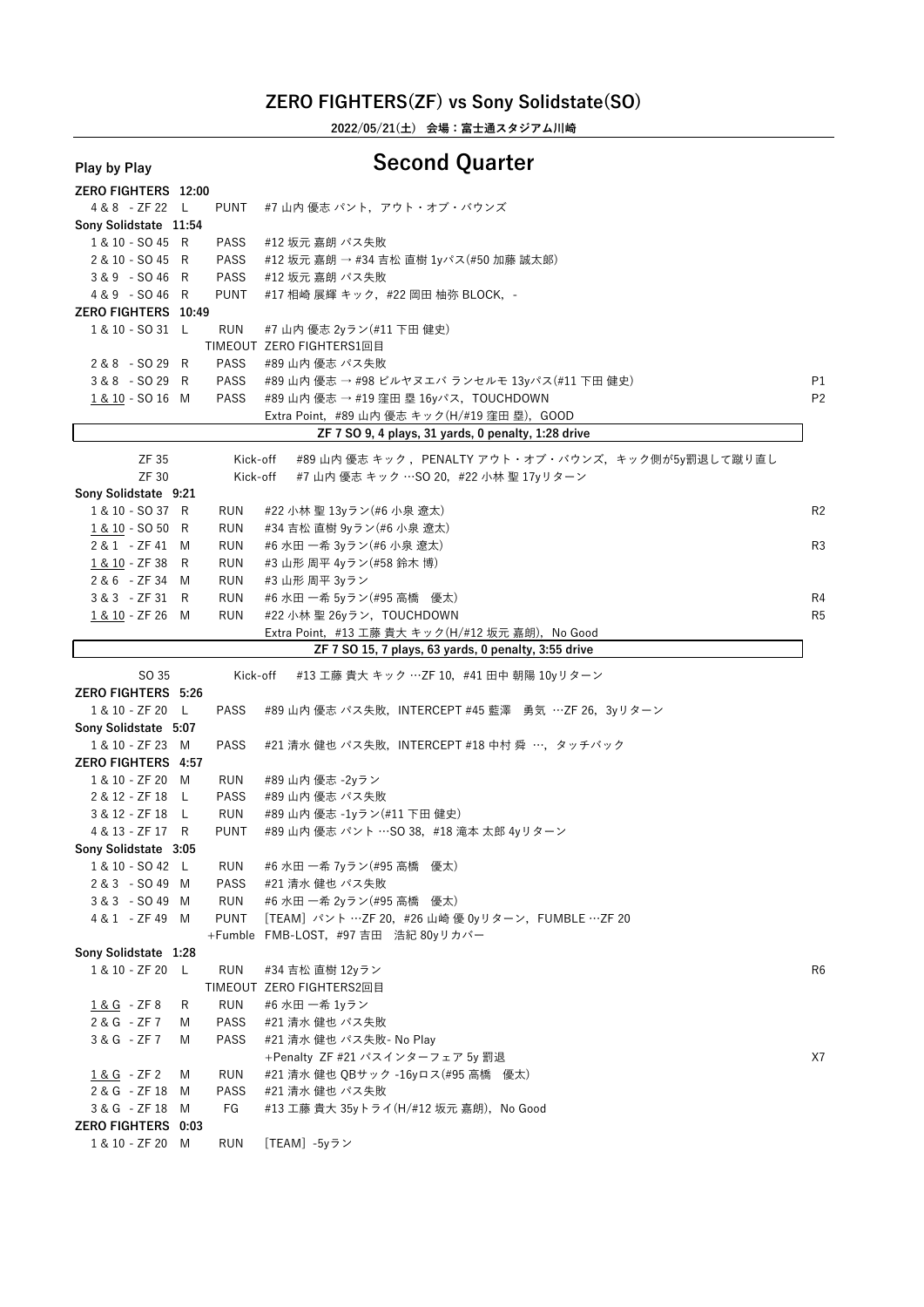**2022/05/21(土) 会場:富士通スタジアム川崎**

#### **Play by Play Second Quarter**

| <b>ZERO FIGHTERS 12:00</b> |   |             |                                                        |                |
|----------------------------|---|-------------|--------------------------------------------------------|----------------|
| 4 & 8 - ZF 22 L            |   | PUNT        | #7 山内 優志 パント, アウト・オブ・バウンズ                              |                |
| Sony Solidstate 11:54      |   |             |                                                        |                |
| 1 & 10 - SO 45 R           |   | PASS        | #12 坂元 嘉朗 パス失敗                                         |                |
| 2 & 10 - SO 45 R           |   | PASS        | #12 坂元 嘉朗 → #34 吉松 直樹 1yパス(#50 加藤 誠太郞)                 |                |
| $3&9 - SO46 R$             |   | PASS        | #12 坂元 嘉朗 パス失敗                                         |                |
| 4 & 9 - SO 46 R            |   | <b>PUNT</b> | #17 相崎 展輝 キック,#22 岡田 柚弥 BLOCK,-                        |                |
| ZERO FIGHTERS 10:49        |   |             |                                                        |                |
| 1 & 10 - SO 31 L           |   | RUN         | #7 山内 優志 2yラン(#11 下田 健史)                               |                |
|                            |   |             | <b>TIMEOUT ZERO FIGHTERS1回目</b>                        |                |
| 2 & 8 - SO 29 R            |   | PASS        | #89 山内 優志 パス失敗                                         |                |
| 3 & 8 - SO 29 R            |   | PASS        | #89 山内 優志 → #98 ビルヤヌエバ ランセルモ 13yパス(#11 下田 健史)          | P1             |
| 1 & 10 - SO 16 M           |   | PASS        | #89 山内 優志 → #19 窪田 塁 16yパス,TOUCHDOWN                   | P <sub>2</sub> |
|                            |   |             | Extra Point, #89 山内 優志 キック(H/#19 窪田 塁), GOOD           |                |
|                            |   |             | ZF 7 SO 9, 4 plays, 31 yards, 0 penalty, 1:28 drive    |                |
|                            |   |             |                                                        |                |
| ZF 35                      |   | Kick-off    | #89 山内 優志 キック ,PENALTY アウト・オブ・バウンズ,キック側が5y罰退して蹴り直し     |                |
| ZF 30                      |   | Kick-off    | #7 山内 優志 キック …SO 20, #22 小林 聖 17yリターン                  |                |
| Sony Solidstate 9:21       |   |             |                                                        |                |
| 1 & 10 - SO 37 R           |   | RUN         | #22 小林 聖 13yラン(#6 小泉 遼太)                               | R <sub>2</sub> |
| 1 & 10 - SO 50 R           |   | RUN         | #34 吉松 直樹 9yラン(#6 小泉 遼太)                               |                |
| 2 & 1 - ZF 41 M            |   | RUN         | #6 水田 一希 3yラン(#6 小泉 遼太)                                | R <sub>3</sub> |
| 1 & 10 - ZF 38 R           |   | RUN         | #3 山形 周平 4yラン(#58 鈴木 博)                                |                |
| 2 & 6 - ZF 34 M            |   | RUN         | #3 山形 周平 3yラン                                          |                |
| $3 & 3 - ZF31 R$           |   | RUN         | #6 水田 一希 5yラン(#95 高橋 優太)                               | R4             |
| 1 & 10 - ZF 26 M           |   | <b>RUN</b>  | #22 小林 聖 26yラン, TOUCHDOWN                              | R <sub>5</sub> |
|                            |   |             | Extra Point, #13 工藤 貴大 キック(H/#12 坂元 嘉朗), No Good       |                |
|                            |   |             | ZF 7 SO 15, 7 plays, 63 yards, 0 penalty, 3:55 drive   |                |
|                            |   |             |                                                        |                |
|                            |   |             |                                                        |                |
| SO 35                      |   | Kick-off    | #13 工藤 貴大 キック …ZF 10,#41 田中 朝陽 10yリターン                 |                |
| <b>ZERO FIGHTERS 5:26</b>  |   |             |                                                        |                |
| 1 & 10 - ZF 20 L           |   | PASS        | #89 山内 優志 パス失敗, INTERCEPT #45 藍澤 勇気 …ZF 26, 3yリターン     |                |
| Sony Solidstate 5:07       |   |             |                                                        |                |
| 1 & 10 - ZF 23 M           |   | PASS        | #21 清水 健也 パス失敗, INTERCEPT #18 中村 舜 …, タッチバック           |                |
| <b>ZERO FIGHTERS 4:57</b>  |   |             |                                                        |                |
| 1 & 10 - ZF 20 M           |   | RUN         | #89 山内 優志 -2yラン                                        |                |
| 2 & 12 - ZF 18 L           |   | <b>PASS</b> | #89 山内 優志 パス失敗                                         |                |
| 3 & 12 - ZF 18 L           |   | RUN         | #89 山内 優志 -1yラン(#11 下田 健史)                             |                |
| 4 & 13 - ZF 17 R           |   | PUNT        | #89 山内 優志 パント …SO 38, #18 滝本 太郎 4yリターン                 |                |
| Sony Solidstate 3:05       |   |             |                                                        |                |
| 1 & 10 - SO 42 L           |   | RUN         | #6 水田 一希 7yラン(#95 高橋 優太)                               |                |
| 2&3 - SO49 M               |   | PASS        | #21 清水 健也 パス失敗                                         |                |
| 3 & 3 - SO 49 M            |   | RUN         | #6 水田 一希 2yラン(#95 高橋 優太)                               |                |
| 4 & 1 - ZF 49 M            |   |             | PUNT [TEAM] パント …ZF 20, #26 山崎 優 0yリターン, FUMBLE …ZF 20 |                |
|                            |   |             | +Fumble FMB-LOST, #97 吉田 浩紀 80yリカバー                    |                |
| Sony Solidstate 1:28       |   |             |                                                        |                |
| 1 & 10 - ZF 20 L           |   | <b>RUN</b>  | #34 吉松 直樹 12yラン                                        | R6             |
|                            |   |             | TIMEOUT ZERO FIGHTERS2回目                               |                |
| 1 & G - ZF 8               | R | <b>RUN</b>  | #6 水田 一希 1yラン                                          |                |
| 2 & G - ZF 7               | M | PASS        | #21 清水 健也 パス失敗                                         |                |
| 3 & G - ZF 7               | M | PASS        | #21 清水 健也 パス失敗- No Play                                |                |
|                            |   |             | +Penalty ZF #21 パスインターフェア 5y 罰退                        | X7             |
| <u>1 &amp; G</u> - ZF 2    | M | RUN         | #21 清水 健也 QBサック -16yロス(#95 高橋 優太)                      |                |
| 2 & G - ZF 18 M            |   | PASS        | #21 清水 健也 パス失敗                                         |                |
| 3 & G - ZF 18 M            |   | FG          | #13 工藤 貴大 35yトライ(H/#12 坂元 嘉朗),No Good                  |                |
| <b>ZERO FIGHTERS 0:03</b>  |   |             |                                                        |                |
| 1 & 10 - ZF 20 M           |   | RUN         | [TEAM] -5yラン                                           |                |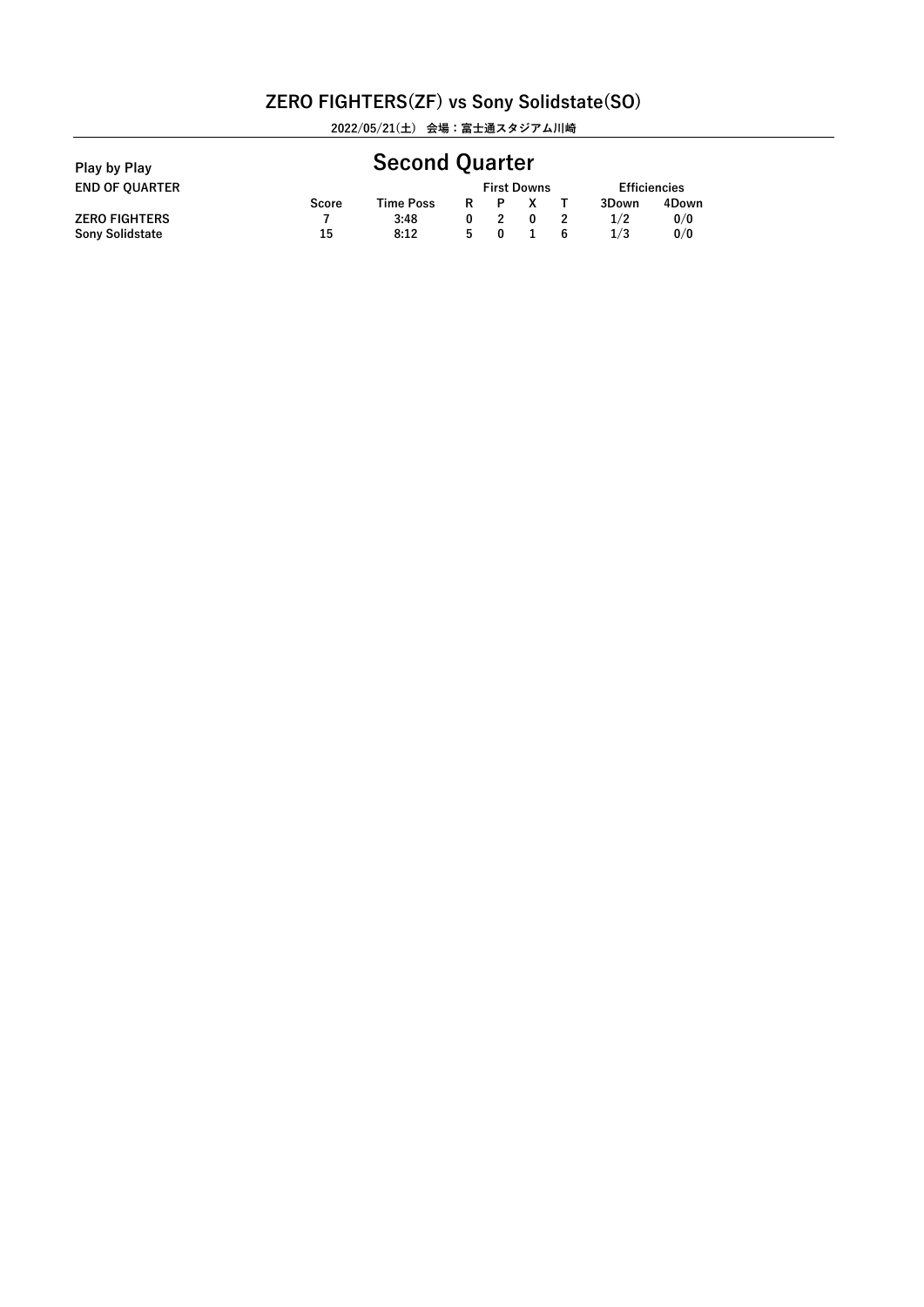**2022/05/21(土) 会場:富士通スタジアム川崎**

| Play by Play           |       | <b>Second Quarter</b> |   |          |                    |    |                     |       |  |  |
|------------------------|-------|-----------------------|---|----------|--------------------|----|---------------------|-------|--|--|
| <b>END OF OUARTER</b>  |       |                       |   |          | <b>First Downs</b> |    | <b>Efficiencies</b> |       |  |  |
|                        | Score | Time Poss             | R | P        |                    |    | 3Down               | 4Down |  |  |
| <b>ZERO FIGHTERS</b>   |       | 3:48                  |   |          |                    |    | 1/2                 | 0/0   |  |  |
| <b>Sony Solidstate</b> | 15    | 8:12                  | 5 | $\Omega$ |                    | -6 | 1/3                 | 0/0   |  |  |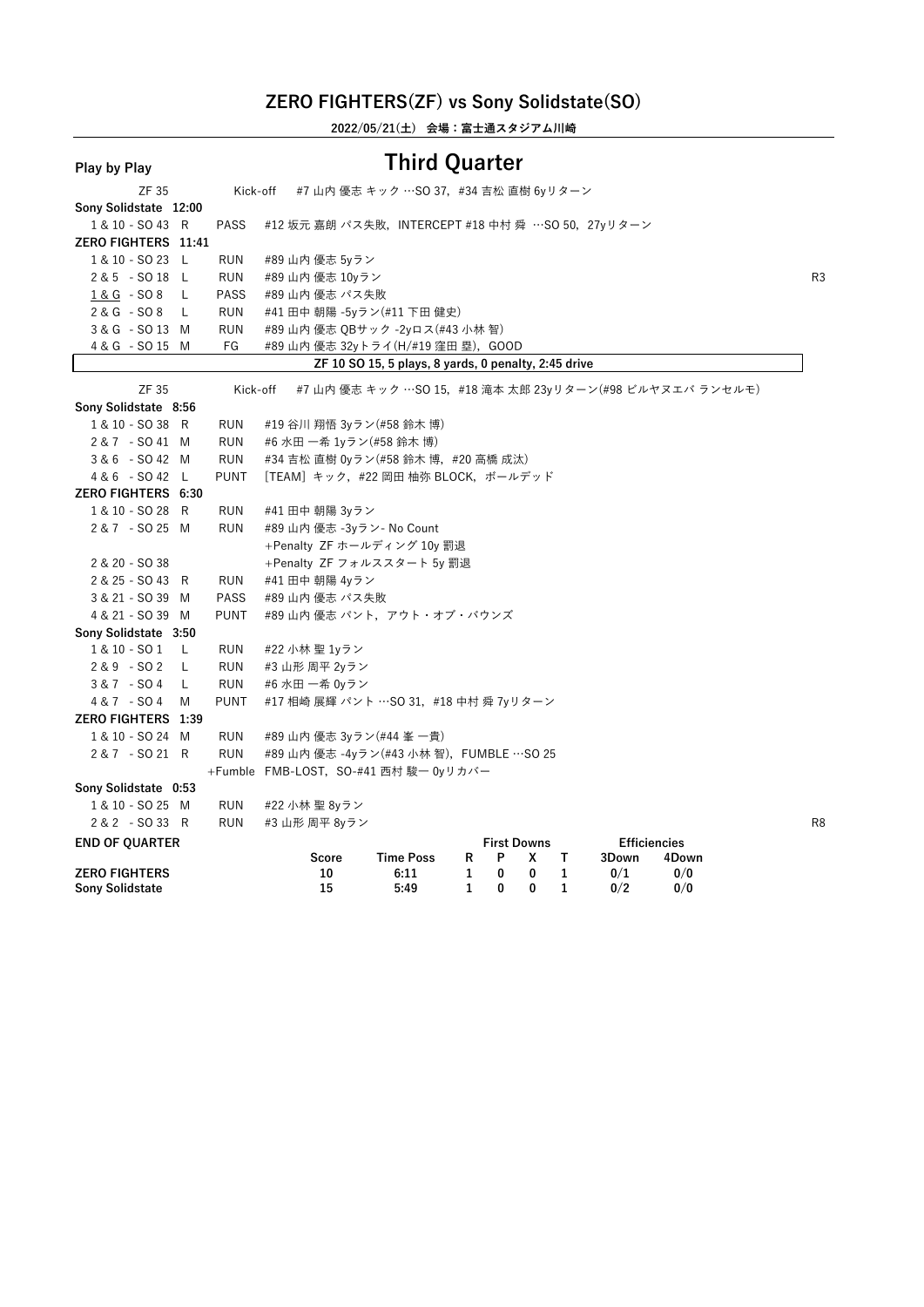**2022/05/21(土) 会場:富士通スタジアム川崎**

| Play by Play                                   |             |                                                  | <b>Third Quarter</b>                                 |        |        |                    |        |                     |                                                         |    |
|------------------------------------------------|-------------|--------------------------------------------------|------------------------------------------------------|--------|--------|--------------------|--------|---------------------|---------------------------------------------------------|----|
| ZF 35                                          | Kick-off    |                                                  | #7 山内 優志 キック …SO 37, #34 吉松 直樹 6yリターン                |        |        |                    |        |                     |                                                         |    |
| Sony Solidstate 12:00                          |             |                                                  |                                                      |        |        |                    |        |                     |                                                         |    |
| 1 & 10 - SO 43 R                               | <b>PASS</b> | #12 坂元 嘉朗 パス失敗,INTERCEPT #18 中村 舜 …SO 50,27yリターン |                                                      |        |        |                    |        |                     |                                                         |    |
| ZERO FIGHTERS 11:41                            |             |                                                  |                                                      |        |        |                    |        |                     |                                                         |    |
| 1 & 10 - SO 23 L                               | <b>RUN</b>  | #89 山内 優志 5yラン                                   |                                                      |        |        |                    |        |                     |                                                         |    |
| 2 & 5 - SO 18 L                                | <b>RUN</b>  | #89 山内 優志 10yラン                                  |                                                      |        |        |                    |        |                     |                                                         | R3 |
| $1 & G - SO8$<br>L                             | <b>PASS</b> | #89 山内 優志 パス失敗                                   |                                                      |        |        |                    |        |                     |                                                         |    |
| $2 & G - SO 8$<br>L                            | <b>RUN</b>  | #41 田中 朝陽 -5yラン(#11 下田 健史)                       |                                                      |        |        |                    |        |                     |                                                         |    |
| 3 & G - SO 13 M                                | <b>RUN</b>  | #89 山内 優志 QBサック -2yロス(#43 小林 智)                  |                                                      |        |        |                    |        |                     |                                                         |    |
| 4 & G - SO 15 M                                | FG          | #89 山内 優志 32yトライ(H/#19 窪田 塁),GOOD                |                                                      |        |        |                    |        |                     |                                                         |    |
|                                                |             |                                                  | ZF 10 SO 15, 5 plays, 8 yards, 0 penalty, 2:45 drive |        |        |                    |        |                     |                                                         |    |
| <b>ZF 35</b>                                   | Kick-off    |                                                  |                                                      |        |        |                    |        |                     | #7 山内 優志 キック …SO 15,#18 滝本 太郎 23γリターン(#98 ビルヤヌエバ ランセルモ) |    |
| Sony Solidstate 8:56                           |             |                                                  |                                                      |        |        |                    |        |                     |                                                         |    |
| 1 & 10 - SO 38 R                               | <b>RUN</b>  | #19 谷川 翔悟 3yラン(#58 鈴木 博)                         |                                                      |        |        |                    |        |                     |                                                         |    |
| 2&7 - SO41 M                                   | <b>RUN</b>  | #6 水田 一希 1yラン(#58 鈴木 博)                          |                                                      |        |        |                    |        |                     |                                                         |    |
| 3 & 6 - SO 42 M                                | <b>RUN</b>  | #34 吉松 直樹 0yラン(#58 鈴木 博,#20 高橋 成汰)               |                                                      |        |        |                    |        |                     |                                                         |    |
| 4 & 6 - SO 42 L                                | <b>PUNT</b> | [TEAM] キック, #22 岡田 柚弥 BLOCK, ボールデッド              |                                                      |        |        |                    |        |                     |                                                         |    |
| <b>ZERO FIGHTERS 6:30</b>                      |             |                                                  |                                                      |        |        |                    |        |                     |                                                         |    |
| 1 & 10 - SO 28 R                               | <b>RUN</b>  | #41 田中 朝陽 3yラン                                   |                                                      |        |        |                    |        |                     |                                                         |    |
| 2 & 7 - SO 25 M                                | <b>RUN</b>  | #89 山内 優志 -3yラン- No Count                        |                                                      |        |        |                    |        |                     |                                                         |    |
|                                                |             | +Penalty ZF ホールディング 10y 罰退                       |                                                      |        |        |                    |        |                     |                                                         |    |
| 2 & 20 - SO 38                                 |             | +Penalty ZF フォルススタート 5y 罰退                       |                                                      |        |        |                    |        |                     |                                                         |    |
| 2 & 25 - SO 43 R                               | <b>RUN</b>  | #41 田中 朝陽 4yラン                                   |                                                      |        |        |                    |        |                     |                                                         |    |
| 3 & 21 - SO 39 M                               | <b>PASS</b> | #89 山内 優志 パス失敗                                   |                                                      |        |        |                    |        |                     |                                                         |    |
| 4 & 21 - SO 39 M                               | <b>PUNT</b> | #89 山内 優志 パント,アウト・オブ・バウンズ                        |                                                      |        |        |                    |        |                     |                                                         |    |
| Sony Solidstate 3:50                           |             |                                                  |                                                      |        |        |                    |        |                     |                                                         |    |
| 1 & 10 - SO 1<br>L.                            | RUN         | #22 小林 聖 1yラン                                    |                                                      |        |        |                    |        |                     |                                                         |    |
| $2 & 9 - SO 2$<br>L                            | <b>RUN</b>  | #3 山形 周平 2yラン                                    |                                                      |        |        |                    |        |                     |                                                         |    |
| $3 & 7 - SO 4$<br>L                            | <b>RUN</b>  | #6 水田 一希 0yラン                                    |                                                      |        |        |                    |        |                     |                                                         |    |
| 4 & 7 - SO 4<br>M                              | <b>PUNT</b> | #17 相崎 展輝 パント …SO 31, #18 中村 舜 7yリターン            |                                                      |        |        |                    |        |                     |                                                         |    |
| ZERO FIGHTERS 1:39                             |             |                                                  |                                                      |        |        |                    |        |                     |                                                         |    |
| 1 & 10 - SO 24 M                               | <b>RUN</b>  | #89 山内 優志 3yラン(#44 峯 一貴)                         |                                                      |        |        |                    |        |                     |                                                         |    |
| 2&7 - SO 21 R                                  | <b>RUN</b>  | #89 山内 優志 -4yラン(#43 小林 智), FUMBLE …SO 25         |                                                      |        |        |                    |        |                     |                                                         |    |
|                                                |             | +Fumble FMB-LOST, SO-#41 西村 駿一 0yリカバー            |                                                      |        |        |                    |        |                     |                                                         |    |
| Sony Solidstate 0:53                           |             |                                                  |                                                      |        |        |                    |        |                     |                                                         |    |
| 1 & 10 - SO 25 M                               | <b>RUN</b>  | #22 小林 聖 8yラン                                    |                                                      |        |        |                    |        |                     |                                                         |    |
| 2 & 2 - SO 33 R                                | <b>RUN</b>  | #3 山形 周平 8yラン                                    |                                                      |        |        |                    |        |                     |                                                         | R٤ |
| <b>END OF QUARTER</b>                          |             |                                                  |                                                      |        |        | <b>First Downs</b> |        | <b>Efficiencies</b> |                                                         |    |
|                                                |             | Score                                            | <b>Time Poss</b>                                     | R      | P      | x                  | Τ      | 3Down               | 4Down                                                   |    |
| <b>ZERO FIGHTERS</b><br><b>Sony Solidstate</b> |             | 10<br>15                                         | 6:11<br>5:49                                         | 1<br>1 | 0<br>0 | 0<br>0             | 1<br>1 | 0/1<br>0/2          | 0/0<br>0/0                                              |    |
|                                                |             |                                                  |                                                      |        |        |                    |        |                     |                                                         |    |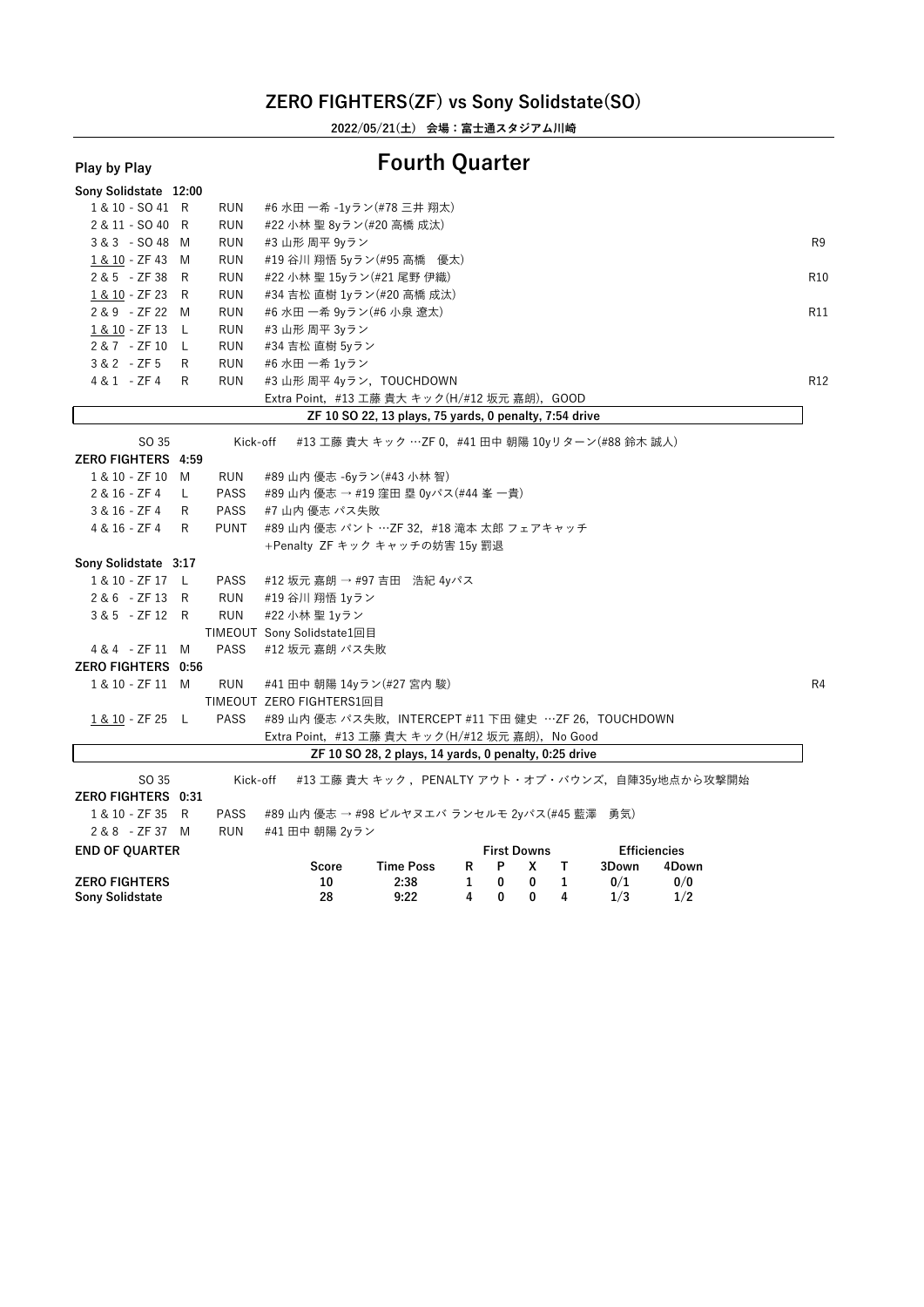**2022/05/21(土) 会場:富士通スタジアム川崎**

### **Play by Play Fourth Quarter**

| г іаў бу г іаў            |    |             |                                                                 |                 |
|---------------------------|----|-------------|-----------------------------------------------------------------|-----------------|
| Sony Solidstate 12:00     |    |             |                                                                 |                 |
| 1 & 10 - SO 41 R          |    | RUN         | #6 水田 一希 -1yラン(#78 三井 翔太)                                       |                 |
| 2 & 11 - SO 40 R          |    | <b>RUN</b>  | #22 小林 聖 8yラン(#20 高橋 成汰)                                        |                 |
| 3 & 3 - SO 48 M           |    | <b>RUN</b>  | #3 山形 周平 9yラン                                                   | R <sub>9</sub>  |
| 1 & 10 - ZF 43 M          |    | <b>RUN</b>  | #19 谷川 翔悟 5yラン(#95 高橋 優太)                                       |                 |
| 2 & 5 - ZF 38 R           |    | <b>RUN</b>  | #22 小林 聖 15yラン(#21 尾野 伊織)                                       | R10             |
| 1 & 10 - ZF 23            | R  | <b>RUN</b>  | #34 吉松 直樹 1yラン(#20 高橋 成汰)                                       |                 |
| 2 & 9 - ZF 22 M           |    | <b>RUN</b>  | #6 水田 一希 9yラン(#6 小泉 遼太)                                         | R11             |
| 1 & 10 - ZF 13 L          |    | <b>RUN</b>  | #3 山形 周平 3yラン                                                   |                 |
| 2 & 7 - ZF 10 L           |    | <b>RUN</b>  | #34 吉松 直樹 5yラン                                                  |                 |
| $3 & 2 - ZF5$             | R  | <b>RUN</b>  | #6 水田 一希 1yラン                                                   |                 |
| 4 & 1 - ZF 4              | R  | <b>RUN</b>  | #3 山形 周平 4yラン, TOUCHDOWN                                        | R <sub>12</sub> |
|                           |    |             | Extra Point, #13 工藤 貴大 キック(H/#12 坂元 嘉朗), GOOD                   |                 |
|                           |    |             | ZF 10 SO 22, 13 plays, 75 yards, 0 penalty, 7:54 drive          |                 |
| SO 35                     |    | Kick-off    | #13 工藤 貴大 キック …ZF 0, #41 田中 朝陽 10yリターン(#88 鈴木 誠人)               |                 |
| ZERO FIGHTERS 4:59        |    |             |                                                                 |                 |
| 1 & 10 - ZF 10 M          |    | RUN         | #89 山内 優志 -6yラン(#43 小林 智)                                       |                 |
| 2 & 16 - ZF 4             | L. | <b>PASS</b> | #89 山内 優志 → #19 窪田 塁 0yパス(#44 峯 一貴)                             |                 |
| 3 & 16 - ZF 4             | R  | <b>PASS</b> | #7 山内 優志 パス失敗                                                   |                 |
| 4 & 16 - ZF 4             | R  | <b>PUNT</b> | #89 山内 優志 パント …ZF 32,#18 滝本 太郎 フェアキャッチ                          |                 |
|                           |    |             | +Penalty ZF キック キャッチの妨害 15y 罰退                                  |                 |
| Sony Solidstate 3:17      |    |             |                                                                 |                 |
| 1 & 10 - ZF 17 L          |    | <b>PASS</b> | #12 坂元 嘉朗 → #97 吉田 浩紀 4yパス                                      |                 |
| 2 & 6 - ZF 13 R           |    | <b>RUN</b>  | #19 谷川 翔悟 1yラン                                                  |                 |
| 3 & 5 - ZF 12 R           |    | <b>RUN</b>  | #22 小林 聖 1yラン                                                   |                 |
|                           |    |             | TIMEOUT Sony Solidstate1回目                                      |                 |
| 4 & 4 - ZF 11 M           |    | <b>PASS</b> | #12 坂元 嘉朗 パス失敗                                                  |                 |
| <b>ZERO FIGHTERS 0:56</b> |    |             |                                                                 |                 |
| 1 & 10 - ZF 11 M          |    | <b>RUN</b>  | #41 田中 朝陽 14yラン(#27 宮内 駿)                                       | R <sub>4</sub>  |
|                           |    |             | TIMEOUT ZERO FIGHTERS1回目                                        |                 |
| 1 & 10 - ZF 25 L          |    | <b>PASS</b> | #89 山内 優志 パス失敗,INTERCEPT #11 下田 健史 …ZF 26,TOUCHDOWN             |                 |
|                           |    |             | Extra Point, #13 工藤 貴大 キック(H/#12 坂元 嘉朗), No Good                |                 |
|                           |    |             | ZF 10 SO 28, 2 plays, 14 yards, 0 penalty, 0:25 drive           |                 |
| SO 35                     |    | Kick-off    | #13 工藤 貴大 キック, PENALTY アウト・オブ・バウンズ, 自陣35y地点から攻撃開始               |                 |
| ZERO FIGHTERS 0:31        |    |             |                                                                 |                 |
| 1 & 10 - ZF 35 R          |    | <b>PASS</b> | #89 山内 優志 → #98 ビルヤヌエバ ランセルモ 2yパス(#45 藍澤<br>勇気)                 |                 |
| 2 & 8 - ZF 37 M           |    | <b>RUN</b>  | #41 田中 朝陽 2yラン                                                  |                 |
| <b>END OF QUARTER</b>     |    |             | <b>First Downs</b><br><b>Efficiencies</b>                       |                 |
|                           |    |             | <b>Time Poss</b><br>P<br>3Down<br>Score<br>R<br>x<br>Т<br>4Down |                 |
| <b>ZERO FIGHTERS</b>      |    |             | 0/0<br>10<br>2:38<br>1<br>0<br>0<br>$\mathbf{1}$<br>0/1         |                 |
| <b>Sony Solidstate</b>    |    |             | 28<br>9:22<br>4<br>0<br>0<br>4<br>1/3<br>1/2                    |                 |
|                           |    |             |                                                                 |                 |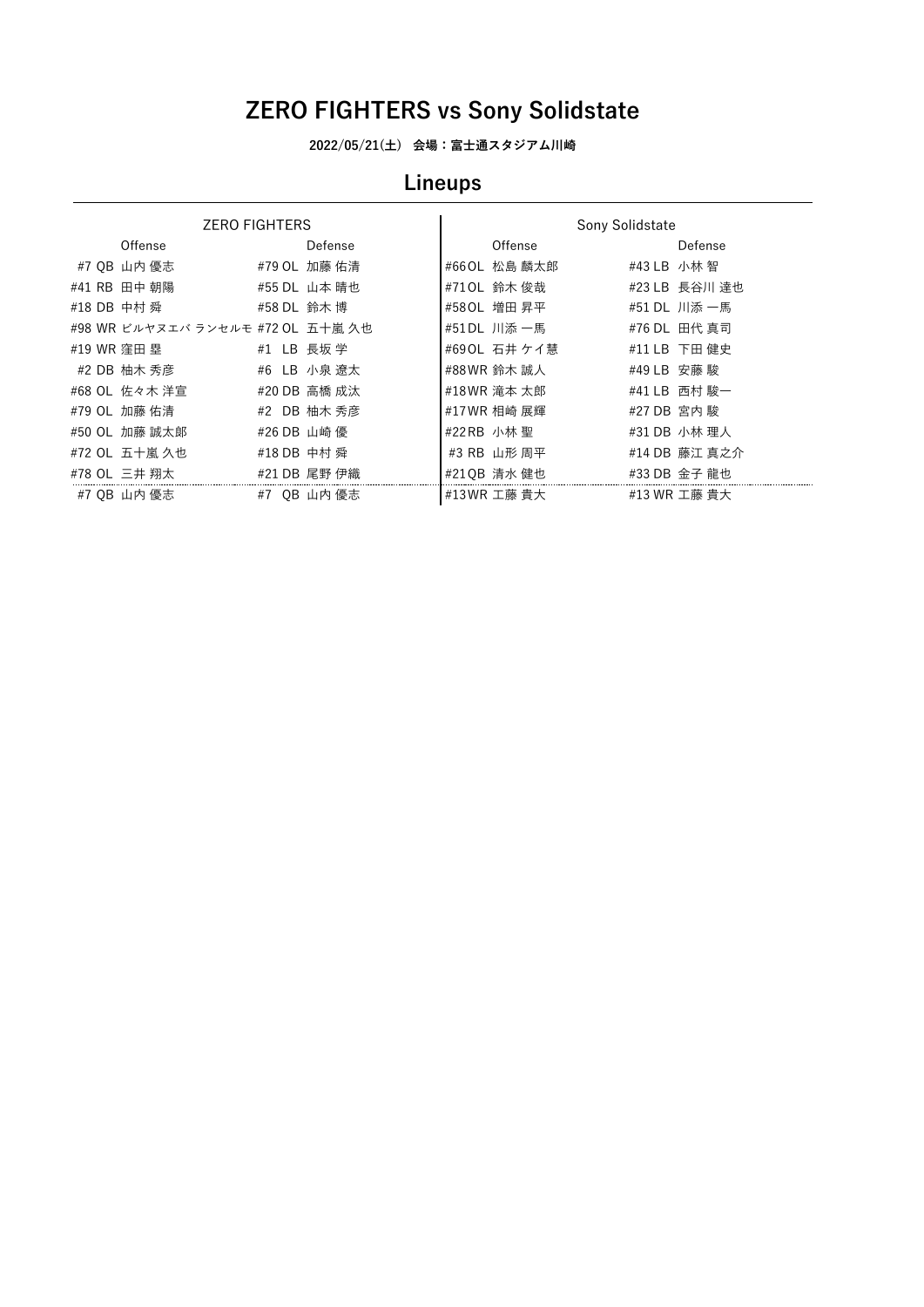**2022/05/21(土) 会場:富士通スタジアム川崎**

# **Lineups**

|             | <b>ZERO FIGHTERS</b>              |             |              |               | Sony Solidstate |               |
|-------------|-----------------------------------|-------------|--------------|---------------|-----------------|---------------|
|             | Offense                           |             | Defense      | Offense       |                 | Defense       |
|             | #7 0B 山内 優志                       |             | #79 OL 加藤 佑清 | #66 OL 松島 麟太郎 | #43 LB 小林 智     |               |
|             | #41 RB 田中 朝陽                      |             | #55 DL 山本 晴也 | #710L 鈴木 俊哉   |                 | #23 LB 長谷川 達也 |
| #18 DB 中村 舜 |                                   | #58 DL 鈴木 博 |              | #580L 増田 昇平   |                 | #51 DL 川添 一馬  |
|             | #98 WR ビルヤヌエバ ランセルモ #72 OL 五十嵐 久也 |             |              | #51DL 川添 一馬   |                 | #76 DL 田代 真司  |
| #19 WR 窪田 塁 |                                   | #1 LB 長坂 学  |              | #690L 石井 ケイ慧  |                 | #11 LB 下田 健史  |
|             | #2 DB 柚木 秀彦                       |             | #6 LB 小泉 遼太  | #88 WR 鈴木 誠人  | #49 LB 安藤 駿     |               |
|             | #68 OL 佐々木 洋宣                     |             | #20 DB 高橋 成汰 | #18 WR 滝本 太郎  |                 | #41 LB 西村 駿一  |
|             | #79 OL 加藤 佑清                      |             | #2 DB 柚木 秀彦  | #17WR 相崎 展輝   | #27 DB 宮内 駿     |               |
|             | #50 OL 加藤 誠太郞                     | #26 DB 山崎 優 |              | #22 RB 小林 聖   |                 | #31 DB 小林 理人  |
|             | #72 OL 五十嵐 久也                     | #18 DB 中村 舜 |              | #3 RB 山形 周平   |                 | #14 DB 藤江 真之介 |
|             | #78 OL 三井 翔太                      |             | #21 DB 尾野 伊織 | #210B 清水 健也   |                 | #33 DB 金子 龍也  |
|             | #7 0B 山内 優志                       |             | #7 OB 山内 優志  | #13WR 工藤 貴大   |                 | #13 WR 工藤 貴大  |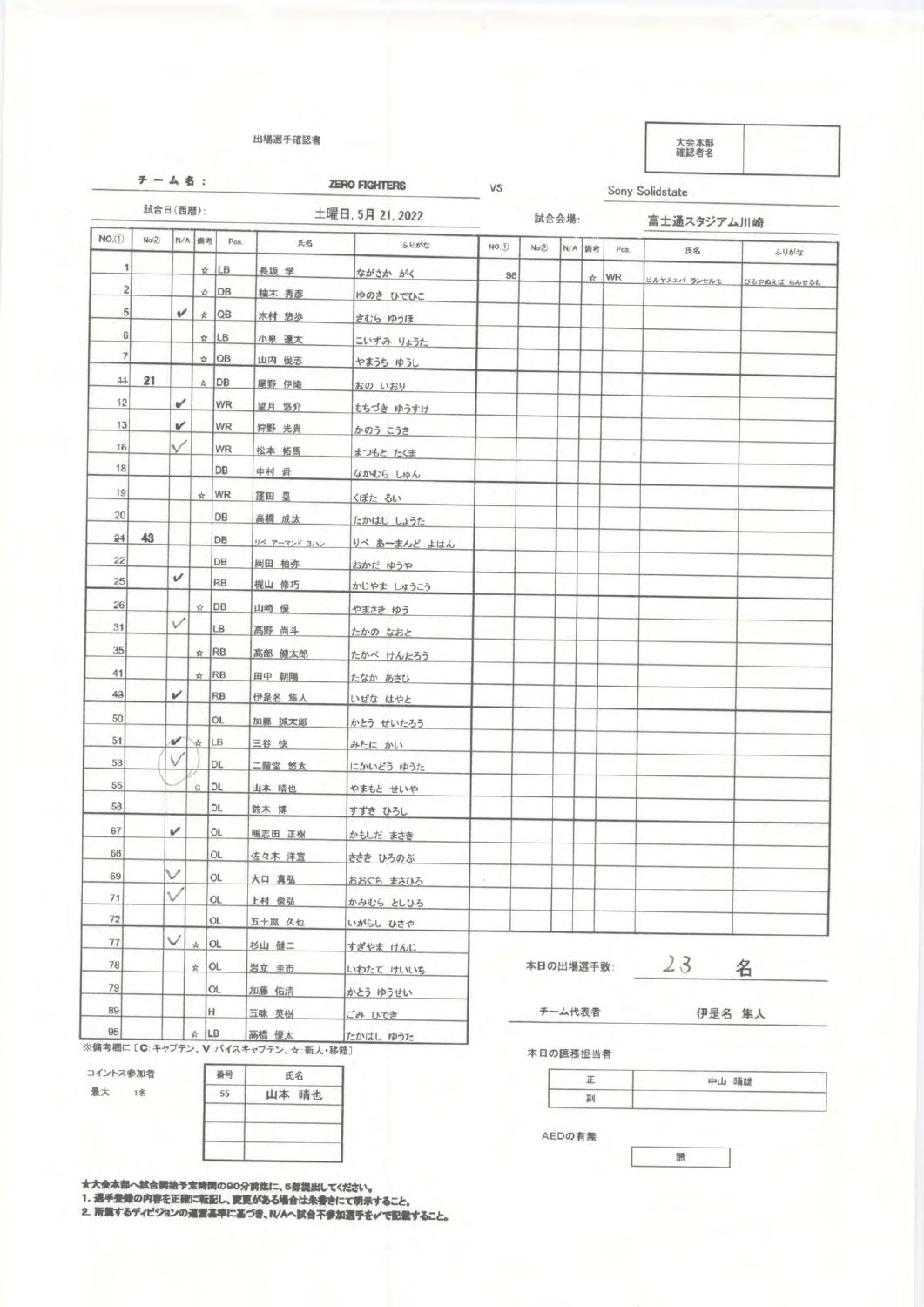# 場選手 奢著

$$
\mathcal{F} = \mathcal{L} \otimes \mathcal{L}
$$

**ZERO FIGHTERS** 

VS

Sony Solidstate

| 試合日(西暦):       |       |   | 土曜日, 5月 21, 2022 |            |              |              | 試合会場:  |              |        | 富士通スタジアム川崎 |            |              |              |
|----------------|-------|---|------------------|------------|--------------|--------------|--------|--------------|--------|------------|------------|--------------|--------------|
| NO.(1)         | No(2) |   | N/A 機考           | Pos.       | 氏名           | ふりがな         | NO.D   | $N\alpha(2)$ |        | N/A 情考     | Pos.       | 氏名           | ふりがな         |
| 1              |       |   |                  | ☆ LB       | 長坂 学         | ながさか がく      | 98     |              |        |            | $\star$ WR | ビルヤヌエバ ランセルモ | びるやぬえば らんせるも |
| $\sqrt{2}$     |       |   |                  | ☆ DB       | 柚木 秀彦        | ゆのき ひでひこ     |        |              |        |            |            |              |              |
| 5              |       | v |                  | $\star$ QB | 木村 悠歩        | きむら ゆうほ      |        |              |        |            |            |              |              |
| 6              |       |   |                  | $\star$ LB | 小泉 遼太        | こいずみ りょうた    |        |              |        |            |            |              |              |
| $\overline{7}$ |       |   |                  | $\star$ QB | 山内 優志        | やまうち ゆうし     |        |              |        |            |            |              |              |
| $+1$           | 21    |   |                  | $*$ DB     | 尾野 伊織        | おの いおり       |        |              |        |            |            |              |              |
| 12             |       | v |                  | <b>WR</b>  | 望月 悠介        | もちづき ゆうすけ    |        |              |        |            |            |              |              |
| 13             |       | v |                  | WR         | 狩野 光貴        | かのう こうき      |        |              |        |            |            |              |              |
| 16             |       |   |                  | WR         | 松本 拓馬        | まつもと たくま     |        |              |        |            |            |              |              |
| 18             |       |   |                  | DB         | 中村 舜         | なかむら しゅん     |        |              |        |            |            |              |              |
| 19             |       |   | *                | WR         | 窪田 塁         | くぼた るい       |        |              |        |            |            |              |              |
| 20             |       |   |                  | DB         | 高橋 成汰        | たかはし しょうた    |        |              |        |            |            |              |              |
| 24             | 43    |   |                  | DB         | リベ アーマンド ヨハン | りべ あーまんど よはん |        |              |        |            |            |              |              |
| 22             |       |   |                  | DB         | 岡田 柚弥        | おかだ ゆうや      |        |              |        |            |            |              |              |
| 25             |       | v |                  | <b>RB</b>  | 梶山 修巧        | かじやま しゅうこう   |        |              |        |            |            |              |              |
| 26             |       |   | ☆ DB             |            | 山崎 優         | やまさき ゆう      |        |              |        |            |            |              |              |
| 31             |       | V |                  | LB         | 高野 尚斗        | たかの なおと      |        |              |        |            |            |              |              |
| 35             |       |   | $\star$ RB       |            | 高部 健太郎       | たかべ けんたろう    |        |              |        |            |            |              |              |
| 41             |       |   | ☆ RB             |            | 田中 朝陽        | たなか あさひ      |        |              |        |            |            |              |              |
| 43             |       | v |                  | RB         | 伊是名 隼人       | いぜな はやと      |        |              |        |            |            |              |              |
| 50             |       |   |                  | OL.        | 加藤 誠太郎       | かとう せいたろう    |        |              |        |            |            |              |              |
| 51             |       | ✓ | # LB             |            | 三谷快          | みたに かい       |        |              |        |            |            |              |              |
| 53             |       | V |                  | DL.        | 二階堂 悠太       | にかいどう ゆうた    |        |              |        |            |            |              |              |
| 55             |       |   | $\mathbf{C}$     | DL.        | 山本 晴也        | やまもと せいや     |        |              |        |            |            |              |              |
| 58             |       |   |                  | DL.        | 鈴木 博         | すずき ひろし      |        |              |        |            |            |              |              |
| 67             |       | v |                  | <b>OL</b>  | 鴨志田 正樹       | かもしだ まさき     |        |              |        |            |            |              |              |
| 68             |       |   |                  | OL.        | 佐々木 洋宣       | ささき ひろのぶ     |        |              |        |            |            |              |              |
| 69             |       |   |                  | OL         | 大口 真弘        | おおぐち まさひろ    | $\tau$ |              |        |            |            |              |              |
| 71             |       |   |                  | OL         | 上村 俊弘        | かみむら としひろ    |        |              |        |            |            |              |              |
| 72             |       |   |                  | <b>OL</b>  | 五十嵐 久也       | いがらし ひさや     |        |              |        |            |            |              |              |
| 77             |       | ◡ | $\star$ OL       |            | 杉山 健二        | すぎやま けんじ     |        |              |        |            |            |              |              |
| 78             |       |   | $\star$ OL       |            | 岩立 圭市        | いわたて けいいち    |        | 本日の出場選手数:    |        |            | 23         | 名            |              |
| 79             |       |   |                  | OL         | 加藤 佑清        | かとう ゆうせい     |        |              |        |            |            |              |              |
| 89             |       |   | н                |            | 五味 英樹        | ごみ ひでき       |        |              | チーム代表者 |            |            | 伊是名 隼人       |              |
| 95             |       |   | ☆  LB            |            | 高橋 優太        | たかはし ゆうた     |        |              |        |            |            |              |              |

コイントス参加者



★大会本部へ試合開始予定時間の90分前迄に、5部提出してくださ<br>1. 週手登録の内容を正確に転記し、変更がある場合は朱書きにて<br>2. 所属するディビジョンの週営基準に基づき、N/Aへ試合不参加選

手を√で記載すること。

|  | 中山 晴雄 |
|--|-------|
|  |       |

無

AEDの有無